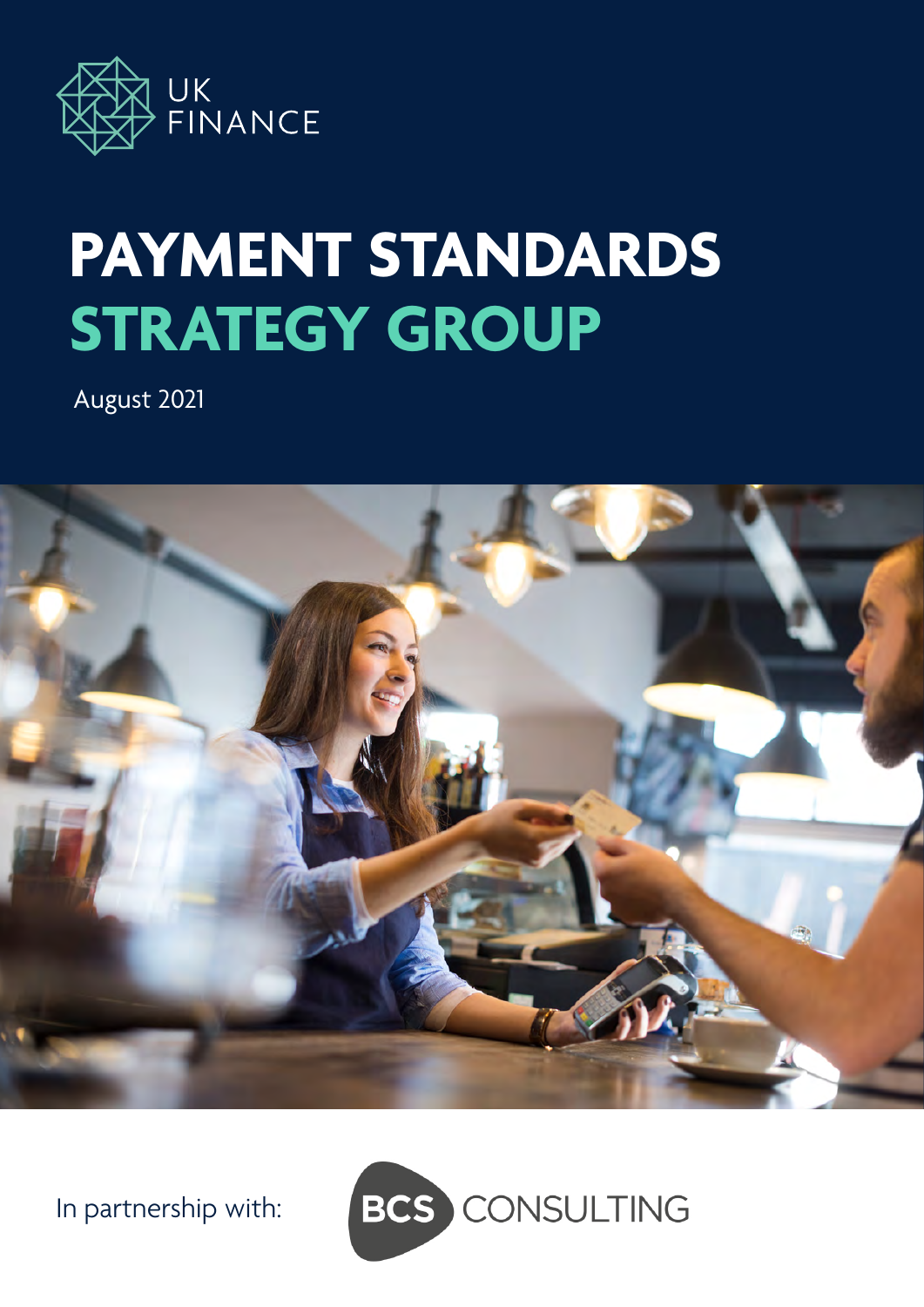

# **PAYMENT STANDARDS STRATEGY GROUP**

August 2021



In partnership with:

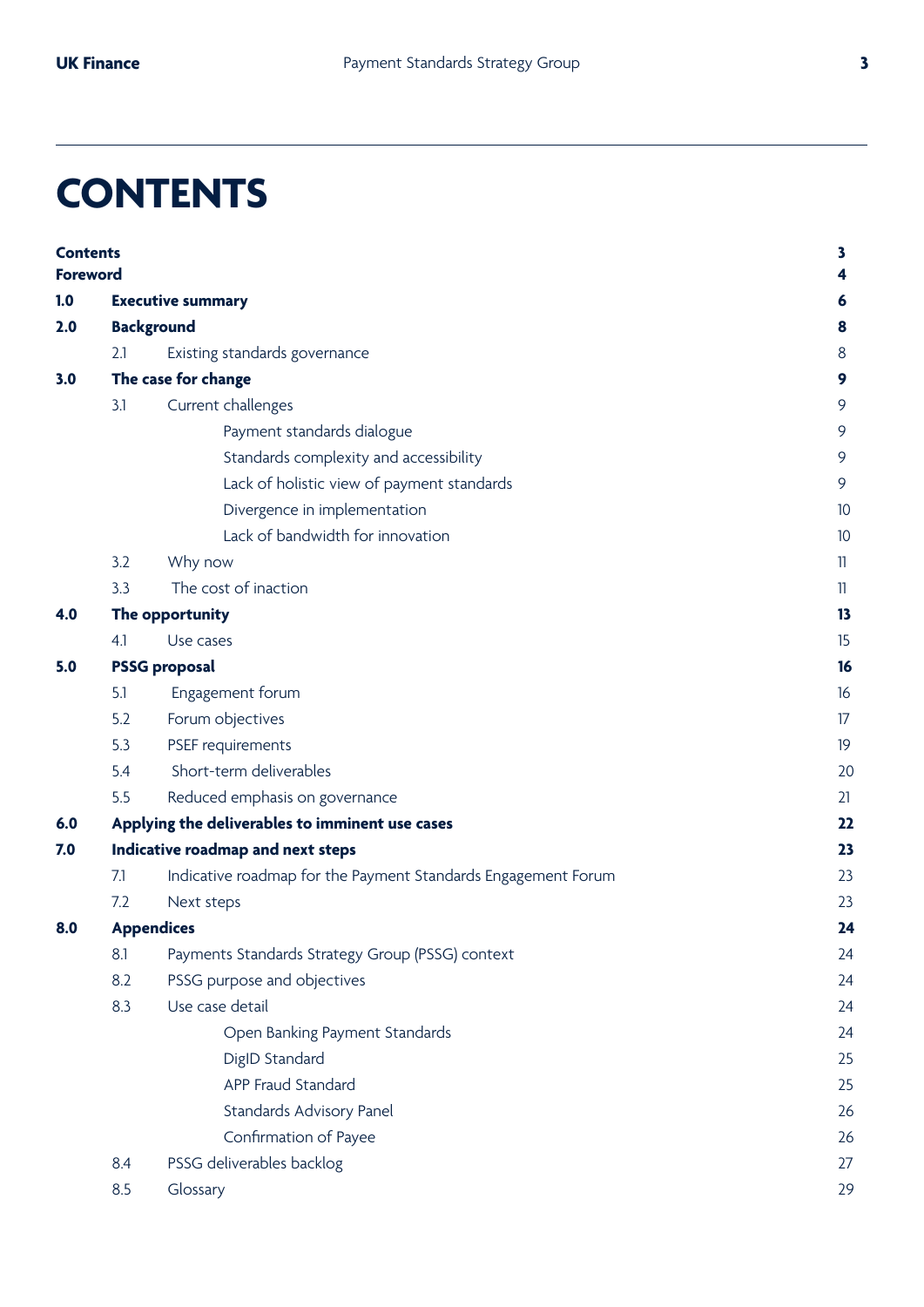## **CONTENTS**

| <b>Contents</b><br><b>Foreword</b> |                                   |                                                               | 3<br>4       |
|------------------------------------|-----------------------------------|---------------------------------------------------------------|--------------|
| 1.0                                | <b>Executive summary</b>          |                                                               |              |
| 2.0                                |                                   | <b>Background</b>                                             | 8            |
|                                    | 2.1                               | Existing standards governance                                 | 8            |
| 3.0                                | The case for change               |                                                               |              |
|                                    | 3.1                               | Current challenges                                            | 9            |
|                                    |                                   | Payment standards dialogue                                    | 9            |
|                                    |                                   | Standards complexity and accessibility                        | 9            |
|                                    |                                   | Lack of holistic view of payment standards                    | 9            |
|                                    |                                   | Divergence in implementation                                  | 10           |
|                                    |                                   | Lack of bandwidth for innovation                              | 10           |
|                                    | 3.2                               | Why now                                                       | $\mathbb{I}$ |
|                                    | 3.3                               | The cost of inaction                                          | 11           |
| 4.0                                | The opportunity                   | 13                                                            |              |
|                                    | 4.1                               | Use cases                                                     | 15           |
| 5.0                                | <b>PSSG proposal</b>              |                                                               |              |
|                                    | 5.1                               | Engagement forum                                              | 16           |
|                                    | 5.2                               | Forum objectives                                              | 17           |
|                                    | 5.3                               | PSEF requirements                                             | 19           |
|                                    | 5.4                               | Short-term deliverables                                       | 20           |
|                                    | 5.5                               | Reduced emphasis on governance                                | 21           |
| 6.0                                |                                   | Applying the deliverables to imminent use cases               | 22           |
| 7.0                                | Indicative roadmap and next steps |                                                               |              |
|                                    | 7.1                               | Indicative roadmap for the Payment Standards Engagement Forum | 23           |
|                                    | 7.2                               | Next steps                                                    | 23           |
| 8.0                                | <b>Appendices</b>                 |                                                               |              |
|                                    | 8.1                               | Payments Standards Strategy Group (PSSG) context              | 24           |
|                                    | 8.2                               | PSSG purpose and objectives                                   | 24           |
|                                    | 8.3                               | Use case detail                                               | 24           |
|                                    |                                   | Open Banking Payment Standards                                | 24           |
|                                    |                                   | DigID Standard                                                | 25           |
|                                    |                                   | APP Fraud Standard                                            | 25           |
|                                    |                                   | Standards Advisory Panel                                      | 26           |
|                                    |                                   | Confirmation of Payee                                         | 26           |
|                                    | 8.4                               | PSSG deliverables backlog                                     | 27           |
|                                    | 8.5                               | Glossary                                                      | 29           |
|                                    |                                   |                                                               |              |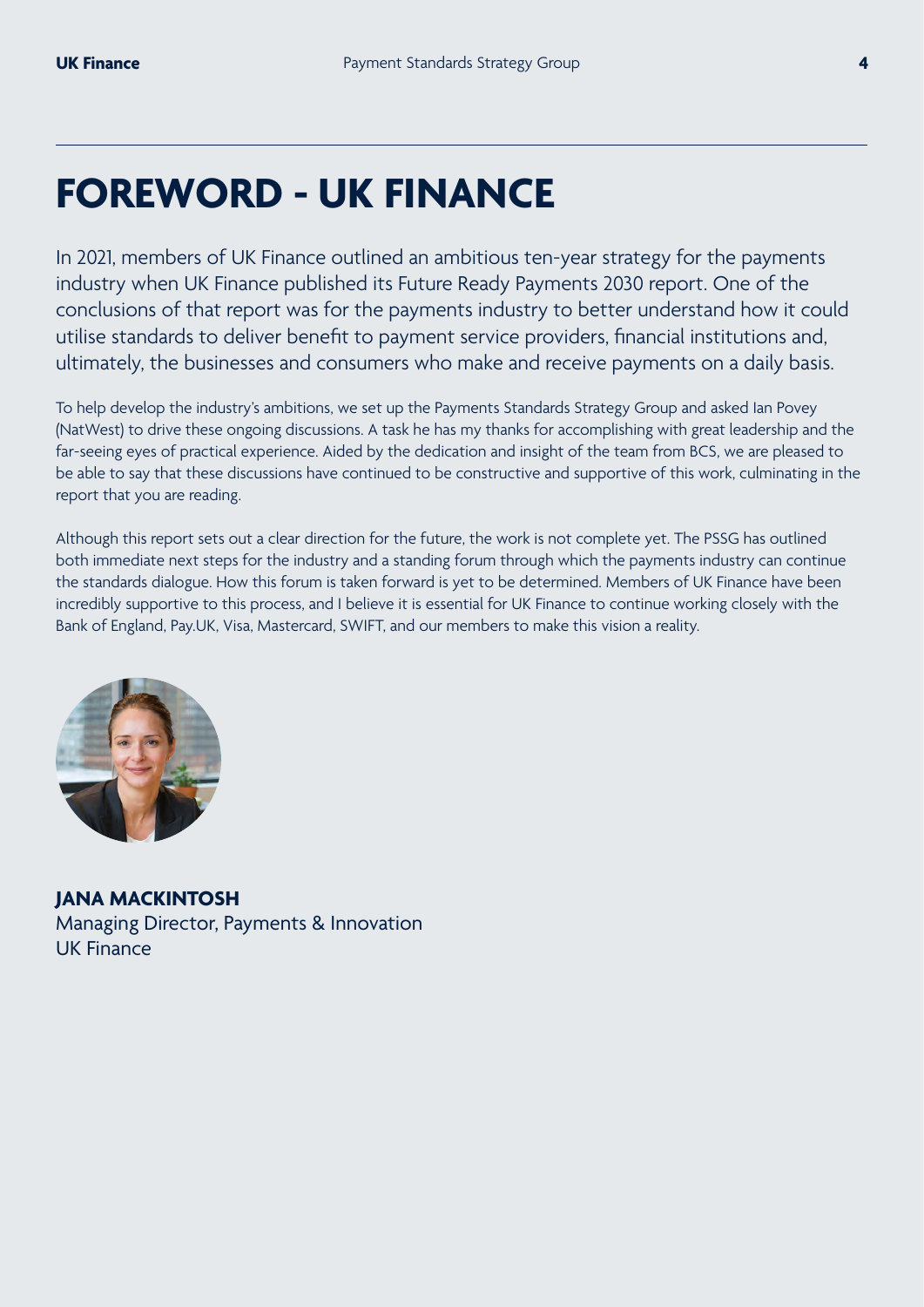## **FOREWORD - UK FINANCE**

In 2021, members of UK Finance outlined an ambitious ten-year strategy for the payments industry when UK Finance published its Future Ready Payments 2030 report. One of the conclusions of that report was for the payments industry to better understand how it could utilise standards to deliver benefit to payment service providers, financial institutions and, ultimately, the businesses and consumers who make and receive payments on a daily basis.

To help develop the industry's ambitions, we set up the Payments Standards Strategy Group and asked Ian Povey (NatWest) to drive these ongoing discussions. A task he has my thanks for accomplishing with great leadership and the far-seeing eyes of practical experience. Aided by the dedication and insight of the team from BCS, we are pleased to be able to say that these discussions have continued to be constructive and supportive of this work, culminating in the report that you are reading.

Although this report sets out a clear direction for the future, the work is not complete yet. The PSSG has outlined both immediate next steps for the industry and a standing forum through which the payments industry can continue the standards dialogue. How this forum is taken forward is yet to be determined. Members of UK Finance have been incredibly supportive to this process, and I believe it is essential for UK Finance to continue working closely with the Bank of England, Pay.UK, Visa, Mastercard, SWIFT, and our members to make this vision a reality.



**JANA MACKINTOSH**  Managing Director, Payments & Innovation UK Finance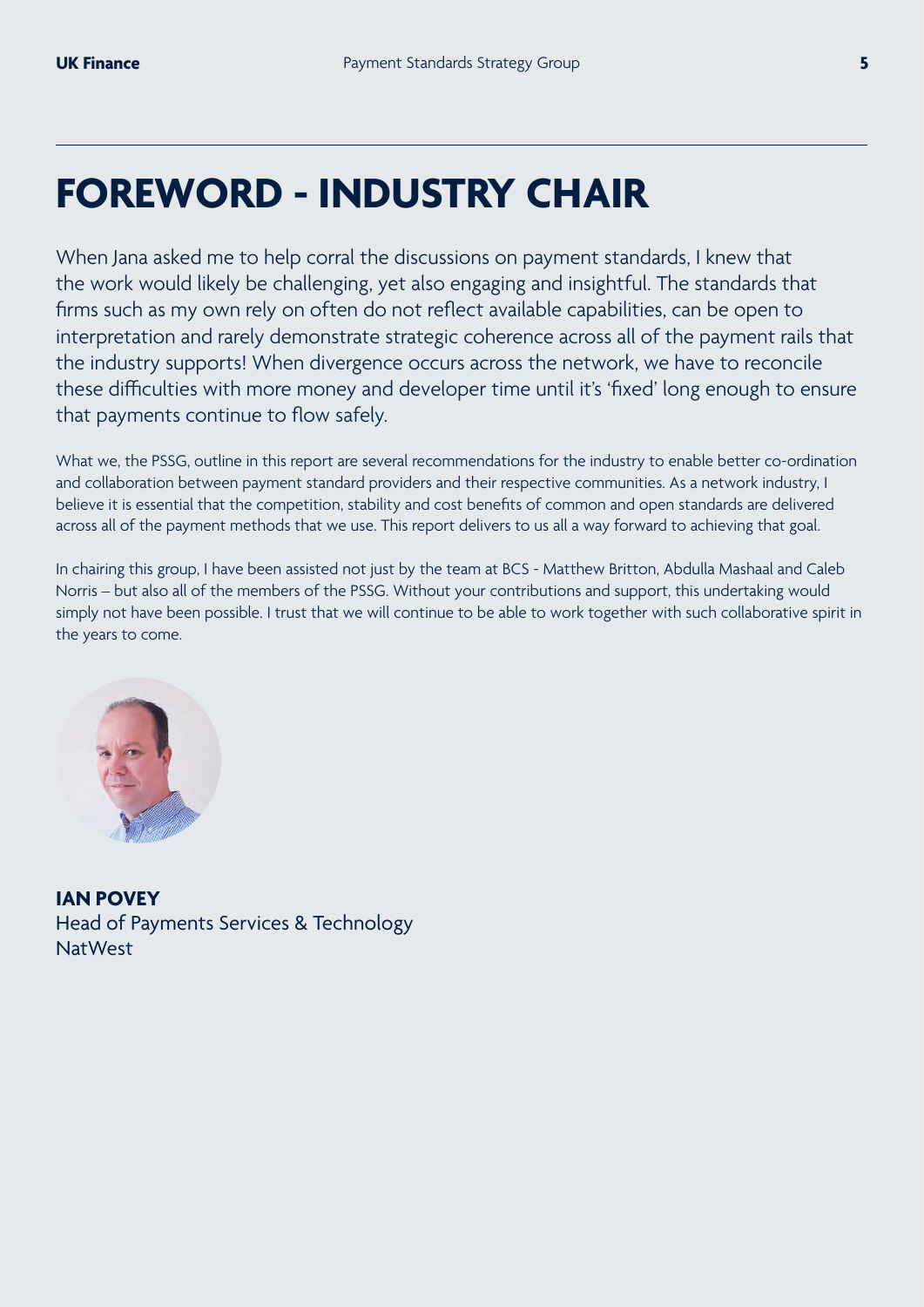## **FOREWORD - INDUSTRY CHAIR**

When Jana asked me to help corral the discussions on payment standards, I knew that the work would likely be challenging, yet also engaging and insightful. The standards that firms such as my own rely on often do not reflect available capabilities, can be open to interpretation and rarely demonstrate strategic coherence across all of the payment rails that the industry supports! When divergence occurs across the network, we have to reconcile these difficulties with more money and developer time until it's 'fixed' long enough to ensure that payments continue to flow safely.

What we, the PSSG, outline in this report are several recommendations for the industry to enable better co-ordination and collaboration between payment standard providers and their respective communities. As a network industry, I believe it is essential that the competition, stability and cost benefits of common and open standards are delivered across all of the payment methods that we use. This report delivers to us all a way forward to achieving that goal.

In chairing this group, I have been assisted not just by the team at BCS - Matthew Britton, Abdulla Mashaal and Caleb Norris – but also all of the members of the PSSG. Without your contributions and support, this undertaking would simply not have been possible. I trust that we will continue to be able to work together with such collaborative spirit in the years to come.



**IAN POVEY**  Head of Payments Services & Technology NatWest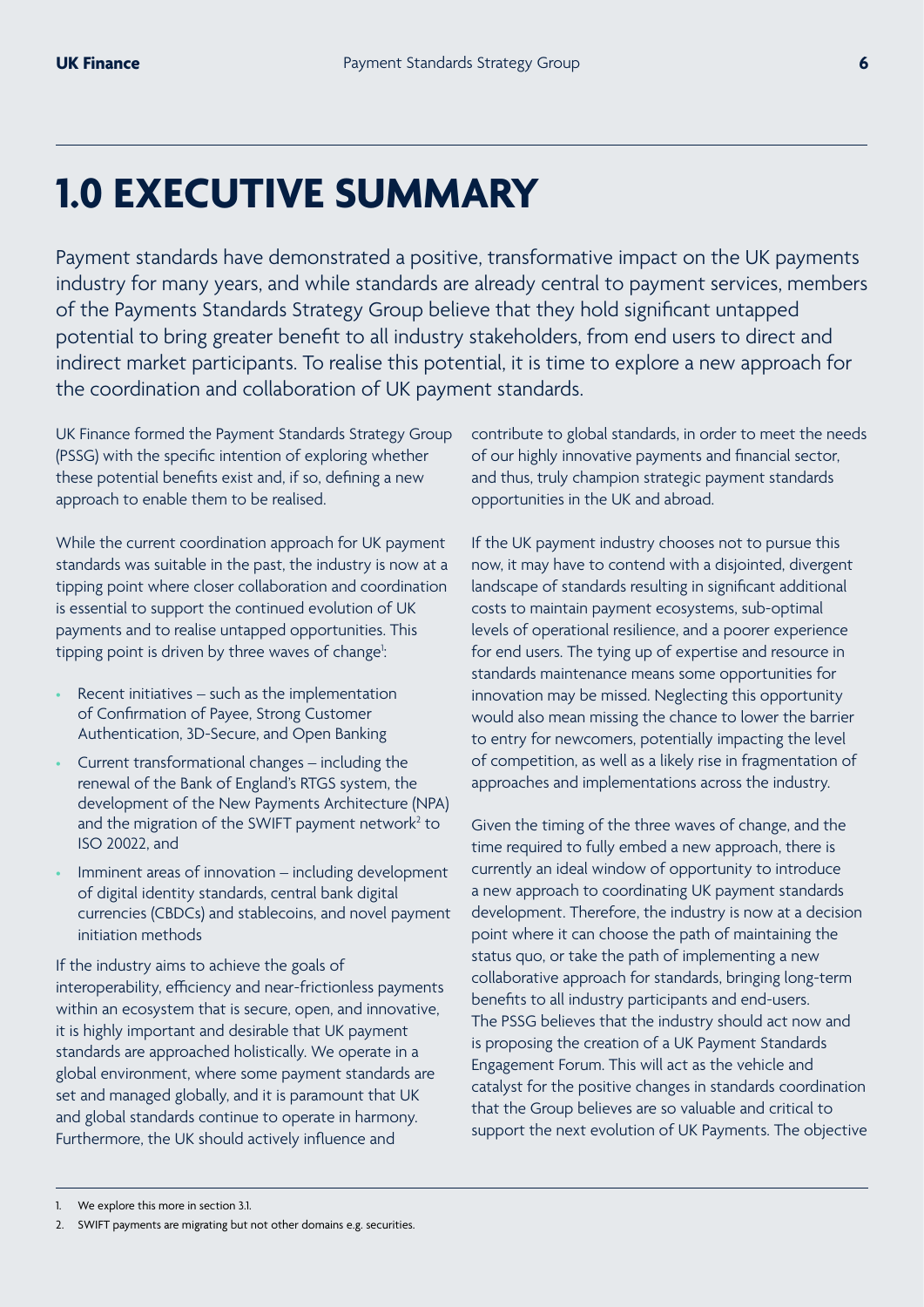## **1.0 EXECUTIVE SUMMARY**

Payment standards have demonstrated a positive, transformative impact on the UK payments industry for many years, and while standards are already central to payment services, members of the Payments Standards Strategy Group believe that they hold significant untapped potential to bring greater benefit to all industry stakeholders, from end users to direct and indirect market participants. To realise this potential, it is time to explore a new approach for the coordination and collaboration of UK payment standards.

UK Finance formed the Payment Standards Strategy Group (PSSG) with the specific intention of exploring whether these potential benefits exist and, if so, defining a new approach to enable them to be realised.

While the current coordination approach for UK payment standards was suitable in the past, the industry is now at a tipping point where closer collaboration and coordination is essential to support the continued evolution of UK payments and to realise untapped opportunities. This tipping point is driven by three waves of change<sup>1</sup>: :

- Recent initiatives such as the implementation of Confirmation of Payee, Strong Customer Authentication, 3D-Secure, and Open Banking
- Current transformational changes including the renewal of the Bank of England's RTGS system, the development of the New Payments Architecture (NPA) and the migration of the SWIFT payment network $2$  to ISO 20022, and
- Imminent areas of innovation including development of digital identity standards, central bank digital currencies (CBDCs) and stablecoins, and novel payment initiation methods

If the industry aims to achieve the goals of interoperability, efficiency and near-frictionless payments within an ecosystem that is secure, open, and innovative, it is highly important and desirable that UK payment standards are approached holistically. We operate in a global environment, where some payment standards are set and managed globally, and it is paramount that UK and global standards continue to operate in harmony. Furthermore, the UK should actively influence and

contribute to global standards, in order to meet the needs of our highly innovative payments and financial sector, and thus, truly champion strategic payment standards opportunities in the UK and abroad.

If the UK payment industry chooses not to pursue this now, it may have to contend with a disjointed, divergent landscape of standards resulting in significant additional costs to maintain payment ecosystems, sub-optimal levels of operational resilience, and a poorer experience for end users. The tying up of expertise and resource in standards maintenance means some opportunities for innovation may be missed. Neglecting this opportunity would also mean missing the chance to lower the barrier to entry for newcomers, potentially impacting the level of competition, as well as a likely rise in fragmentation of approaches and implementations across the industry.

Given the timing of the three waves of change, and the time required to fully embed a new approach, there is currently an ideal window of opportunity to introduce a new approach to coordinating UK payment standards development. Therefore, the industry is now at a decision point where it can choose the path of maintaining the status quo, or take the path of implementing a new collaborative approach for standards, bringing long-term benefits to all industry participants and end-users. The PSSG believes that the industry should act now and is proposing the creation of a UK Payment Standards Engagement Forum. This will act as the vehicle and catalyst for the positive changes in standards coordination that the Group believes are so valuable and critical to support the next evolution of UK Payments. The objective

We explore this more in section 3.1.

<sup>2.</sup> SWIFT payments are migrating but not other domains e.g. securities.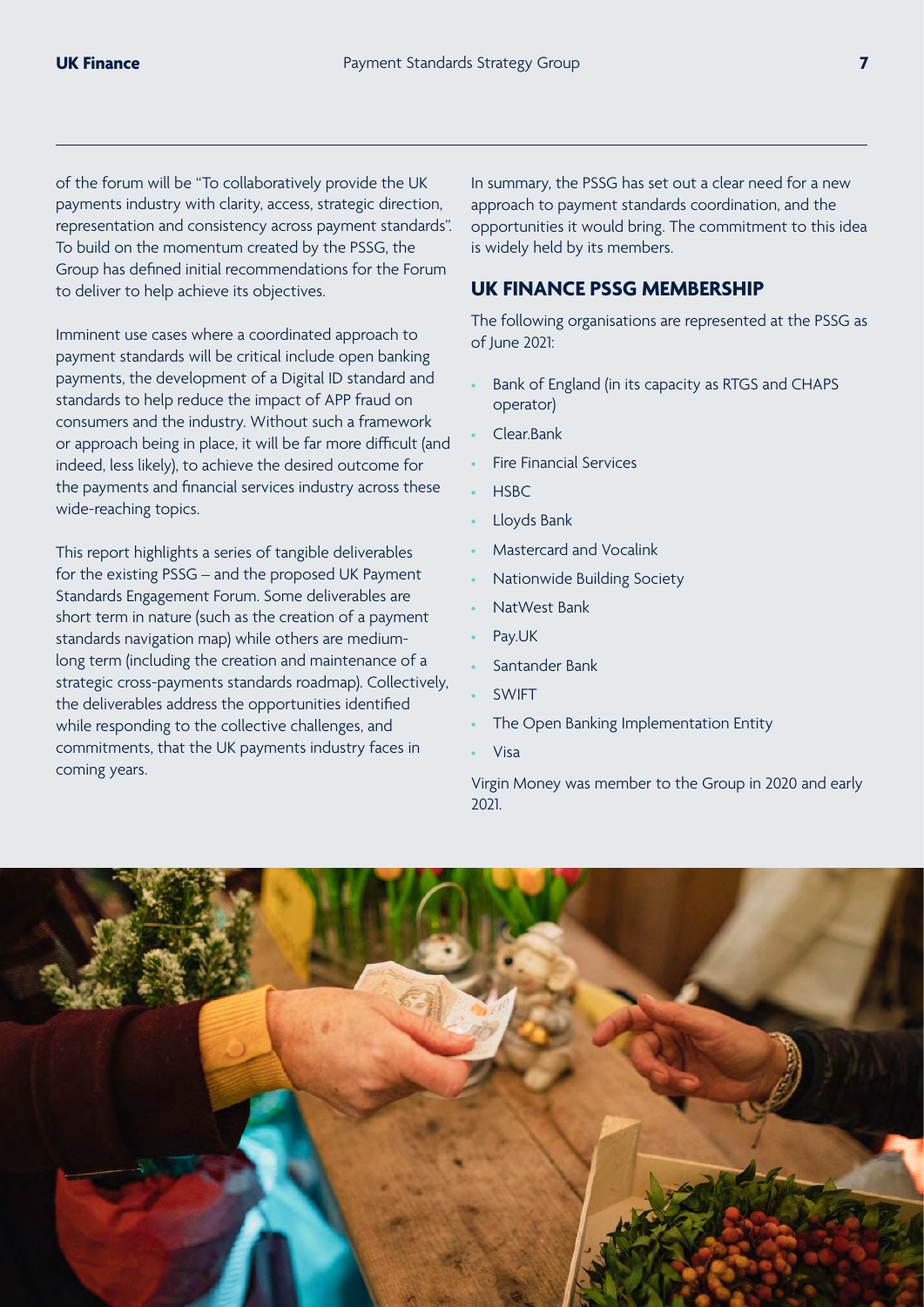of the forum will be "To collaboratively provide the UK payments industry with clarity, access, strategic direction, representation and consistency across payment standards". To build on the momentum created by the PSSG, the Group has defined initial recommendations for the Forum to deliver to help achieve its objectives.

Imminent use cases where a coordinated approach to payment standards will be critical include open banking payments, the development of a Digital ID standard and standards to help reduce the impact of APP fraud on consumers and the industry. Without such a framework or approach being in place, it will be far more difficult (and indeed, less likely), to achieve the desired outcome for the payments and financial services industry across these wide-reaching topics.

This report highlights a series of tangible deliverables for the existing PSSG – and the proposed UK Payment Standards Engagement Forum. Some deliverables are short term in nature (such as the creation of a payment standards navigation map) while others are mediumlong term (including the creation and maintenance of a strategic cross-payments standards roadmap). Collectively, the deliverables address the opportunities identified while responding to the collective challenges, and commitments, that the UK payments industry faces in coming years.

In summary, the PSSG has set out a clear need for a new approach to payment standards coordination, and the opportunities it would bring. The commitment to this idea is widely held by its members.

### **UK FINANCE PSSG MEMBERSHIP**

The following organisations are represented at the PSSG as of June 2021:

- Bank of England (in its capacity as RTGS and CHAPS operator)
- Clear.Bank
- Fire Financial Services
- HSBC
- Lloyds Bank
- Mastercard and Vocalink
- Nationwide Building Society
- NatWest Bank
- Pay.UK
- Santander Bank
- **SWIFT**
- The Open Banking Implementation Entity
- Visa

Virgin Money was member to the Group in 2020 and early 2021.

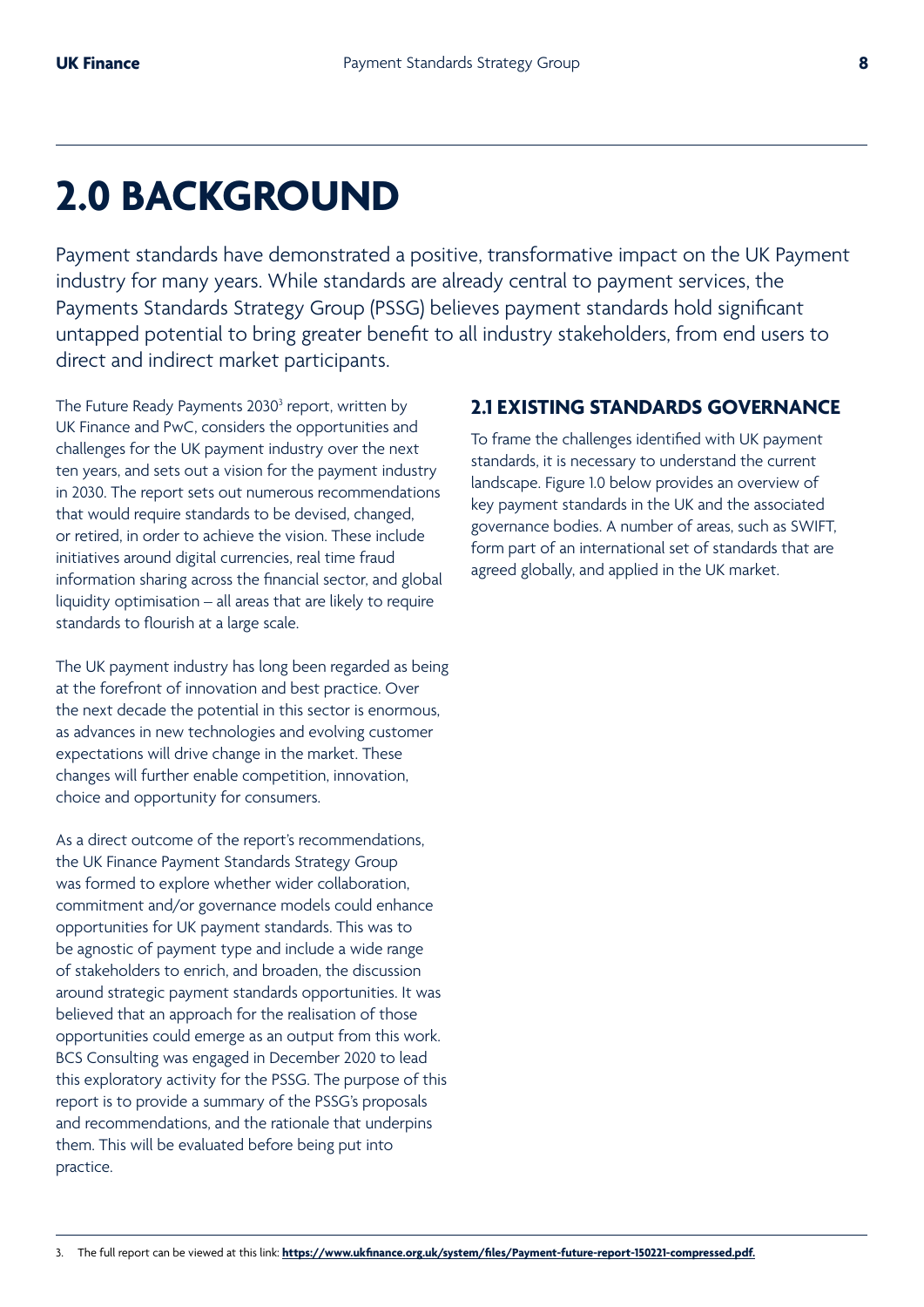## **2.0 BACKGROUND**

Payment standards have demonstrated a positive, transformative impact on the UK Payment industry for many years. While standards are already central to payment services, the Payments Standards Strategy Group (PSSG) believes payment standards hold significant untapped potential to bring greater benefit to all industry stakeholders, from end users to direct and indirect market participants.

The Future Ready Payments 2030<sup>3</sup> report, written by UK Finance and PwC, considers the opportunities and challenges for the UK payment industry over the next ten years, and sets out a vision for the payment industry in 2030. The report sets out numerous recommendations that would require standards to be devised, changed, or retired, in order to achieve the vision. These include initiatives around digital currencies, real time fraud information sharing across the financial sector, and global liquidity optimisation – all areas that are likely to require standards to flourish at a large scale.

The UK payment industry has long been regarded as being at the forefront of innovation and best practice. Over the next decade the potential in this sector is enormous, as advances in new technologies and evolving customer expectations will drive change in the market. These changes will further enable competition, innovation, choice and opportunity for consumers.

As a direct outcome of the report's recommendations, the UK Finance Payment Standards Strategy Group was formed to explore whether wider collaboration, commitment and/or governance models could enhance opportunities for UK payment standards. This was to be agnostic of payment type and include a wide range of stakeholders to enrich, and broaden, the discussion around strategic payment standards opportunities. It was believed that an approach for the realisation of those opportunities could emerge as an output from this work. BCS Consulting was engaged in December 2020 to lead this exploratory activity for the PSSG. The purpose of this report is to provide a summary of the PSSG's proposals and recommendations, and the rationale that underpins them. This will be evaluated before being put into practice.

#### **2.1 EXISTING STANDARDS GOVERNANCE**

To frame the challenges identified with UK payment standards, it is necessary to understand the current landscape. Figure 1.0 below provides an overview of key payment standards in the UK and the associated governance bodies. A number of areas, such as SWIFT, form part of an international set of standards that are agreed globally, and applied in the UK market.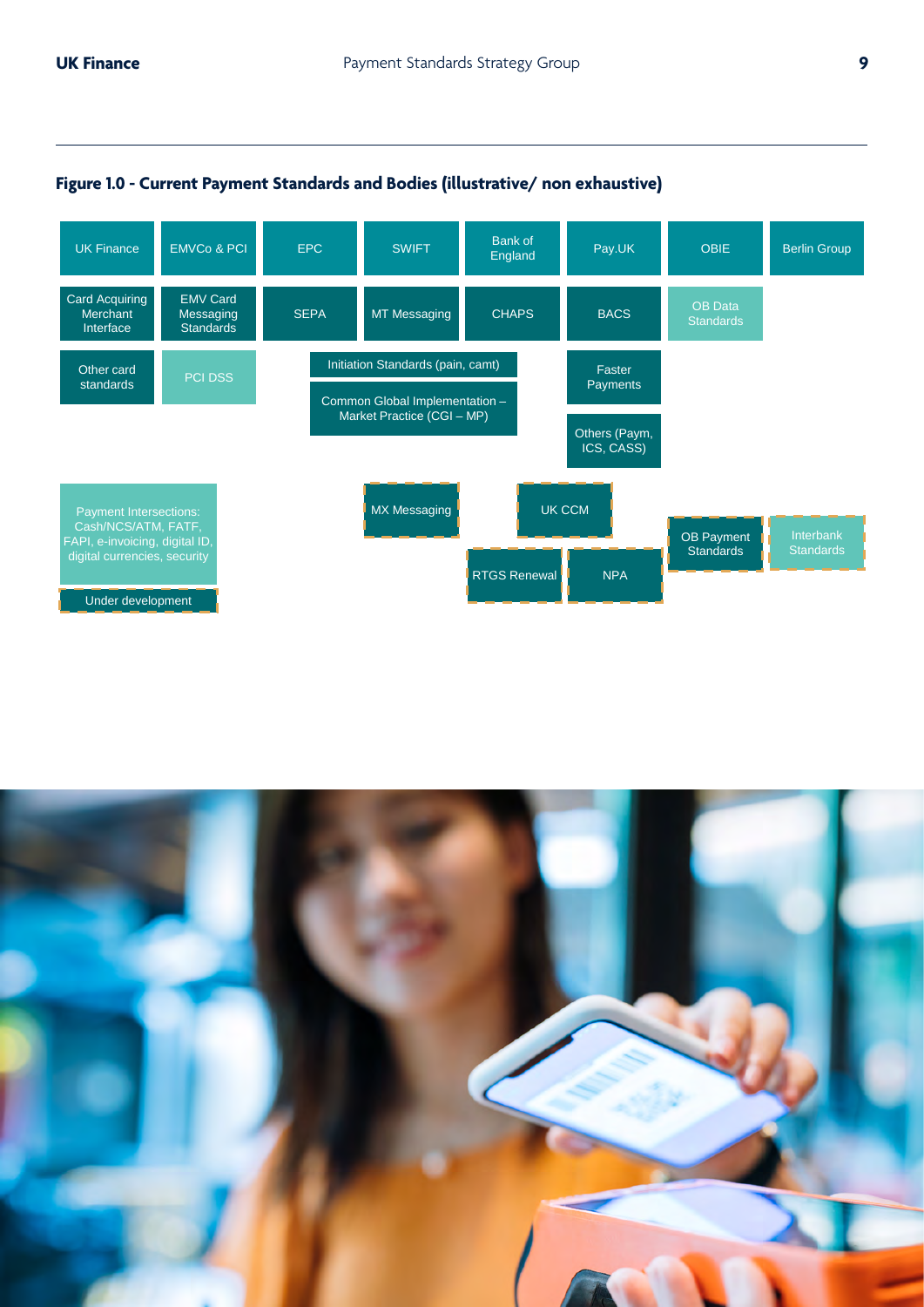$\frac{1}{\sqrt{2}}$ 



#### **Figure 1.0 - Current Payment Standards and Bodies (illustrative/ non exhaustive)**

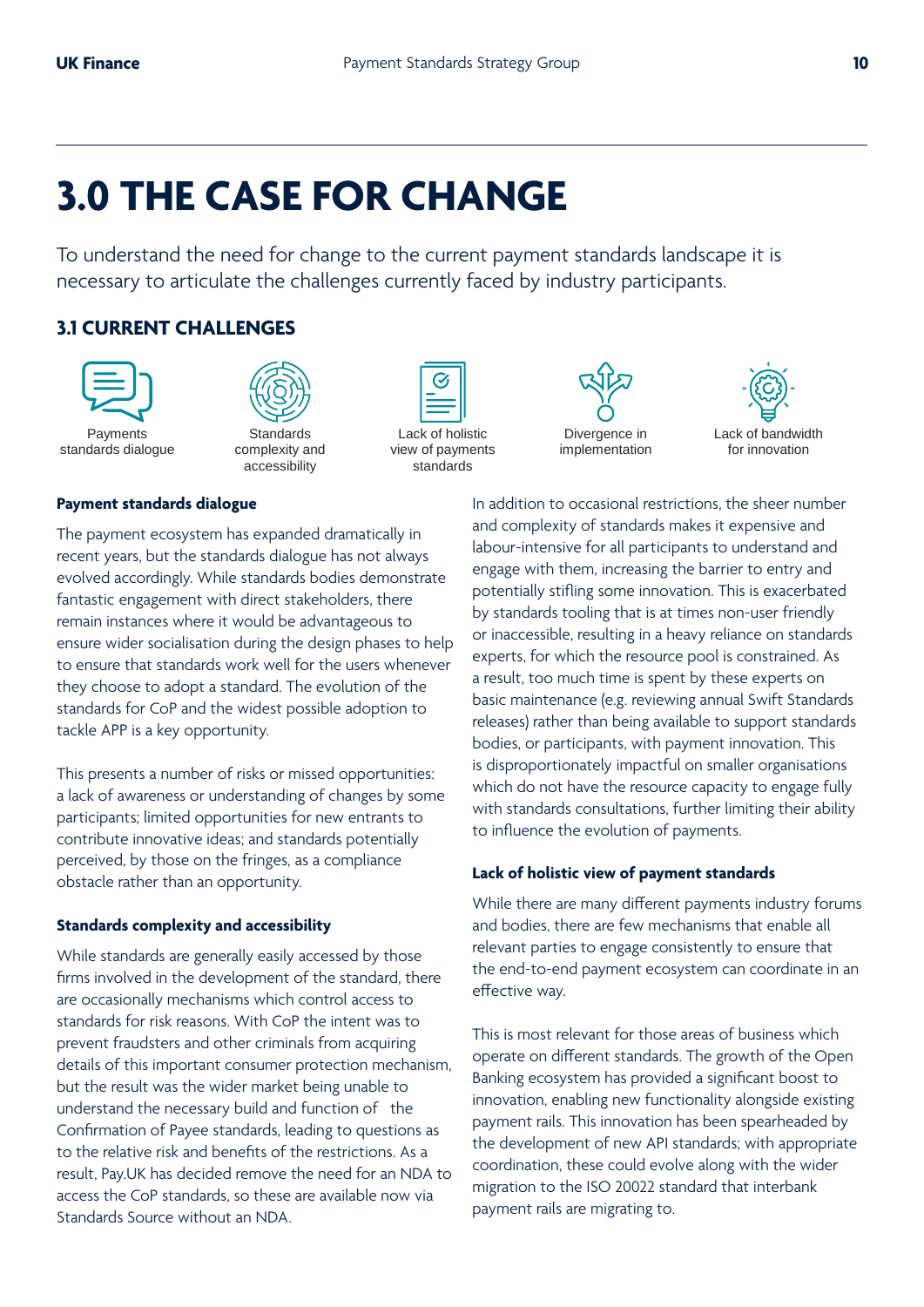## **3.0 THE CASE FOR CHANGE**

To understand the need for change to the current payment standards landscape it is necessary to articulate the challenges currently faced by industry participants.

## **3.1 CURRENT CHALLENGES**





Payments standards dialogue

Standards complexity and accessibility

#### **Payment standards dialogue**

The payment ecosystem has expanded dramatically in recent years, but the standards dialogue has not always evolved accordingly. While standards bodies demonstrate fantastic engagement with direct stakeholders, there remain instances where it would be advantageous to  $\mathbb{R}^3$ ensure wider socialisation during the design phases to help to ensure that standards work well for the users whenever they choose to adopt a standard. The evolution of the standards for CoP and the widest possible adoption to tackle APP is a key opportunity. I'll payment ecosystem has expanded diamatically in and abour-intensive for all participants to understand and recent vears but the standards dialogue has not always

This presents a number of risks or missed opportunities: a lack of awareness or understanding of changes by some participants; limited opportunities for new entrants to contribute innovative ideas; and standards potentially perceived, by those on the fringes, as a compliance obstacle rather than an opportunity.

#### **Standards complexity and accessibility**

While standards are generally easily accessed by those firms involved in the development of the standard, there are occasionally mechanisms which control access to standards for risk reasons. With CoP the intent was to prevent fraudsters and other criminals from acquiring details of this important consumer protection mechanism, but the result was the wider market being unable to understand the necessary build and function of the Confirmation of Payee standards, leading to questions as to the relative risk and benefits of the restrictions. As a result, Pay.UK has decided remove the need for an NDA to access the CoP standards, so these are available now via Standards Source without an NDA.



Lack of holistic view of payments standards



Lack of bandwidth for innovation

In addition to occasional restrictions, the sheer number and complexity of standards makes it expensive and engage with them, increasing the barrier to entry and  $\mathbf{p}_\mathbf{p}$  potentially stifling some innovation. This is exacerbated by standards tooling that is at times non-user friendly or inaccessible, resulting in a heavy reliance on standards experts, for which the resource pool is constrained. As rest weather the docto whenever<br>tandard The evolution of the **and a** result, too much time is spent by these experts on basic maintenance (e.g. reviewing annual Swift Standards releases) rather than being available to support standards bodies, or participants, with payment innovation. This is disproportionately impactful on smaller organisations which do not have the resource capacity to engage fully with standards consultations, further limiting their ability to influence the evolution of payments.

#### **Lack of holistic view of payment standards**

While there are many different payments industry forums and bodies, there are few mechanisms that enable all relevant parties to engage consistently to ensure that the end-to-end payment ecosystem can coordinate in an effective way.

This is most relevant for those areas of business which operate on different standards. The growth of the Open Banking ecosystem has provided a significant boost to innovation, enabling new functionality alongside existing payment rails. This innovation has been spearheaded by the development of new API standards; with appropriate coordination, these could evolve along with the wider migration to the ISO 20022 standard that interbank payment rails are migrating to.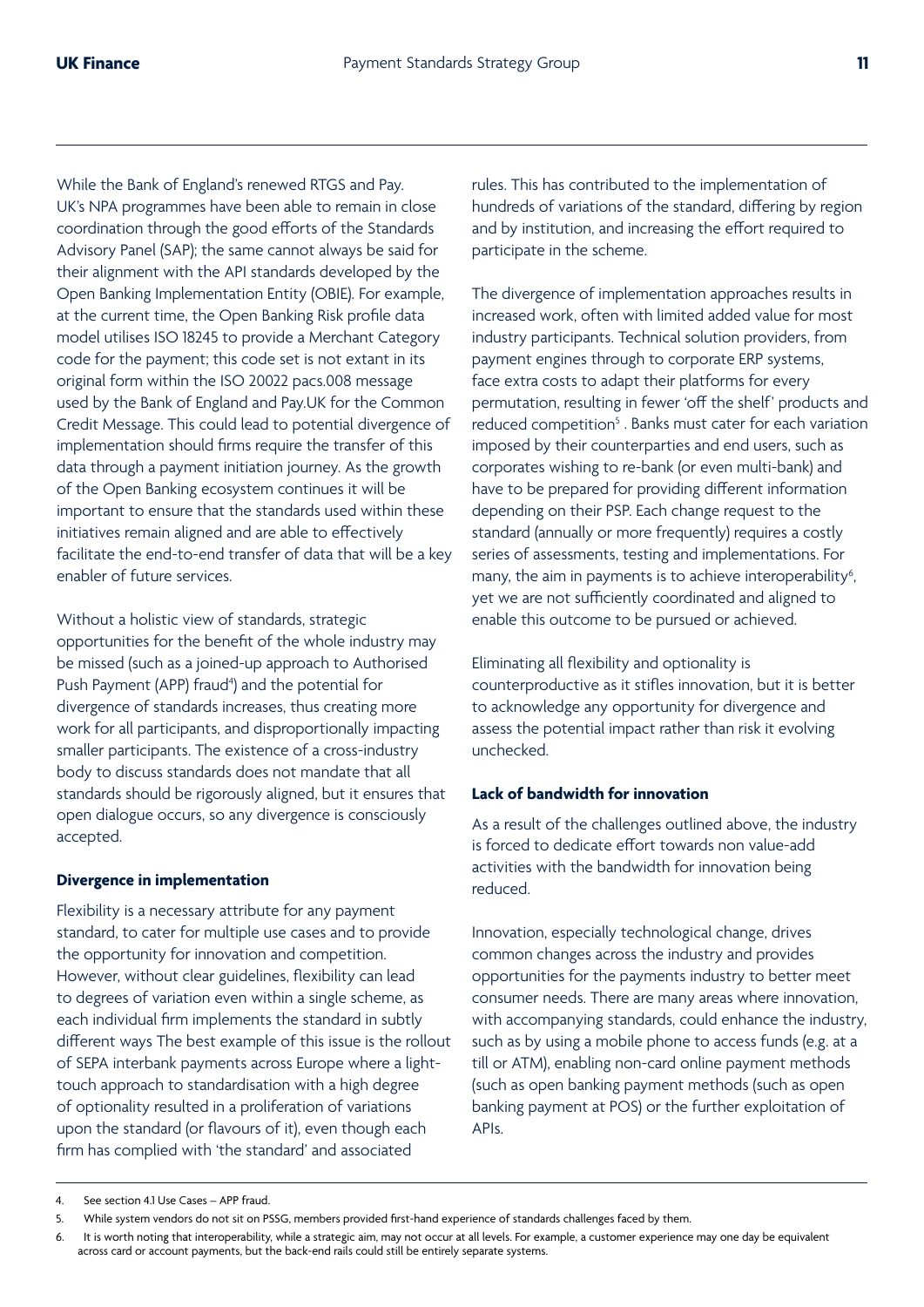While the Bank of England's renewed RTGS and Pay. UK's NPA programmes have been able to remain in close coordination through the good efforts of the Standards Advisory Panel (SAP); the same cannot always be said for their alignment with the API standards developed by the Open Banking Implementation Entity (OBIE). For example, at the current time, the Open Banking Risk profile data model utilises ISO 18245 to provide a Merchant Category code for the payment; this code set is not extant in its original form within the ISO 20022 pacs.008 message used by the Bank of England and Pay.UK for the Common Credit Message. This could lead to potential divergence of implementation should firms require the transfer of this data through a payment initiation journey. As the growth of the Open Banking ecosystem continues it will be important to ensure that the standards used within these initiatives remain aligned and are able to effectively facilitate the end-to-end transfer of data that will be a key enabler of future services.

Without a holistic view of standards, strategic opportunities for the benefit of the whole industry may be missed (such as a joined-up approach to Authorised Push Payment (APP) fraud<sup>4</sup>) and the potential for divergence of standards increases, thus creating more work for all participants, and disproportionally impacting smaller participants. The existence of a cross-industry body to discuss standards does not mandate that all standards should be rigorously aligned, but it ensures that open dialogue occurs, so any divergence is consciously accepted.

#### **Divergence in implementation**

Flexibility is a necessary attribute for any payment standard, to cater for multiple use cases and to provide the opportunity for innovation and competition. However, without clear guidelines, flexibility can lead to degrees of variation even within a single scheme, as each individual firm implements the standard in subtly different ways The best example of this issue is the rollout of SEPA interbank payments across Europe where a lighttouch approach to standardisation with a high degree of optionality resulted in a proliferation of variations upon the standard (or flavours of it), even though each firm has complied with 'the standard' and associated

rules. This has contributed to the implementation of hundreds of variations of the standard, differing by region and by institution, and increasing the effort required to participate in the scheme.

The divergence of implementation approaches results in increased work, often with limited added value for most industry participants. Technical solution providers, from payment engines through to corporate ERP systems, face extra costs to adapt their platforms for every permutation, resulting in fewer 'off the shelf' products and reduced competition<sup>5</sup>. Banks must cater for each variation imposed by their counterparties and end users, such as corporates wishing to re-bank (or even multi-bank) and have to be prepared for providing different information depending on their PSP. Each change request to the standard (annually or more frequently) requires a costly series of assessments, testing and implementations. For many, the aim in payments is to achieve interoperability<sup>6</sup>, yet we are not sufficiently coordinated and aligned to enable this outcome to be pursued or achieved.

Eliminating all flexibility and optionality is counterproductive as it stifles innovation, but it is better to acknowledge any opportunity for divergence and assess the potential impact rather than risk it evolving unchecked.

#### **Lack of bandwidth for innovation**

As a result of the challenges outlined above, the industry is forced to dedicate effort towards non value-add activities with the bandwidth for innovation being reduced.

Innovation, especially technological change, drives common changes across the industry and provides opportunities for the payments industry to better meet consumer needs. There are many areas where innovation, with accompanying standards, could enhance the industry, such as by using a mobile phone to access funds (e.g. at a till or ATM), enabling non-card online payment methods (such as open banking payment methods (such as open banking payment at POS) or the further exploitation of APIs.

<sup>4.</sup> See section 4.1 Use Cases – APP fraud.

<sup>5.</sup> While system vendors do not sit on PSSG, members provided first-hand experience of standards challenges faced by them.

<sup>6.</sup> It is worth noting that interoperability, while a strategic aim, may not occur at all levels. For example, a customer experience may one day be equivalent across card or account payments, but the back-end rails could still be entirely separate systems.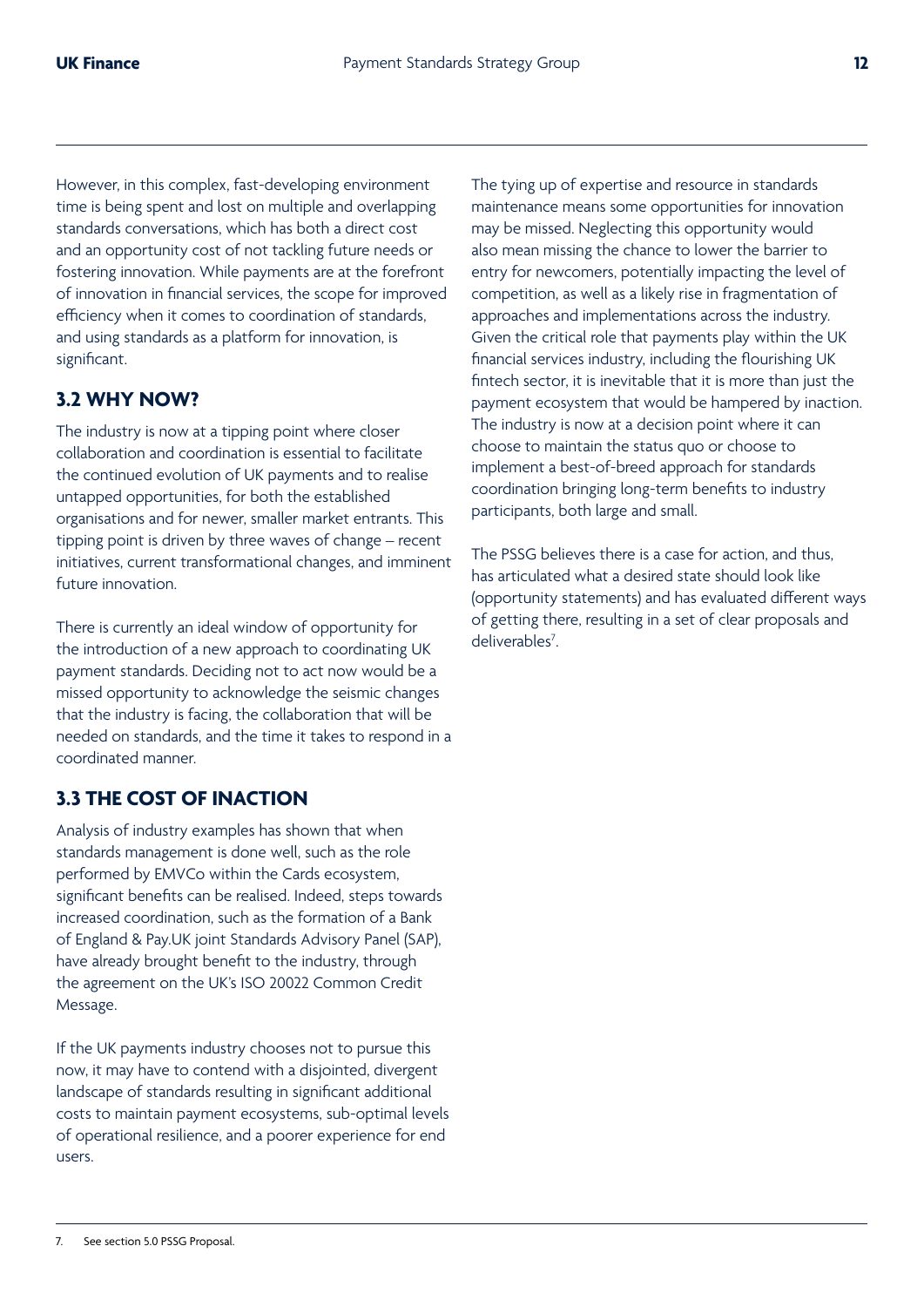However, in this complex, fast-developing environment time is being spent and lost on multiple and overlapping standards conversations, which has both a direct cost and an opportunity cost of not tackling future needs or fostering innovation. While payments are at the forefront of innovation in financial services, the scope for improved efficiency when it comes to coordination of standards, and using standards as a platform for innovation, is significant.

## **3.2 WHY NOW?**

The industry is now at a tipping point where closer collaboration and coordination is essential to facilitate the continued evolution of UK payments and to realise untapped opportunities, for both the established organisations and for newer, smaller market entrants. This tipping point is driven by three waves of change – recent initiatives, current transformational changes, and imminent future innovation.

There is currently an ideal window of opportunity for the introduction of a new approach to coordinating UK payment standards. Deciding not to act now would be a missed opportunity to acknowledge the seismic changes that the industry is facing, the collaboration that will be needed on standards, and the time it takes to respond in a coordinated manner.

## **3.3 THE COST OF INACTION**

Analysis of industry examples has shown that when standards management is done well, such as the role performed by EMVCo within the Cards ecosystem, significant benefits can be realised. Indeed, steps towards increased coordination, such as the formation of a Bank of England & Pay.UK joint Standards Advisory Panel (SAP), have already brought benefit to the industry, through the agreement on the UK's ISO 20022 Common Credit Message.

If the UK payments industry chooses not to pursue this now, it may have to contend with a disjointed, divergent landscape of standards resulting in significant additional costs to maintain payment ecosystems, sub-optimal levels of operational resilience, and a poorer experience for end users.

The tying up of expertise and resource in standards maintenance means some opportunities for innovation may be missed. Neglecting this opportunity would also mean missing the chance to lower the barrier to entry for newcomers, potentially impacting the level of competition, as well as a likely rise in fragmentation of approaches and implementations across the industry. Given the critical role that payments play within the UK financial services industry, including the flourishing UK fintech sector, it is inevitable that it is more than just the payment ecosystem that would be hampered by inaction. The industry is now at a decision point where it can choose to maintain the status quo or choose to implement a best-of-breed approach for standards coordination bringing long-term benefits to industry participants, both large and small.

The PSSG believes there is a case for action, and thus, has articulated what a desired state should look like (opportunity statements) and has evaluated different ways of getting there, resulting in a set of clear proposals and deliverables<sup>7</sup>.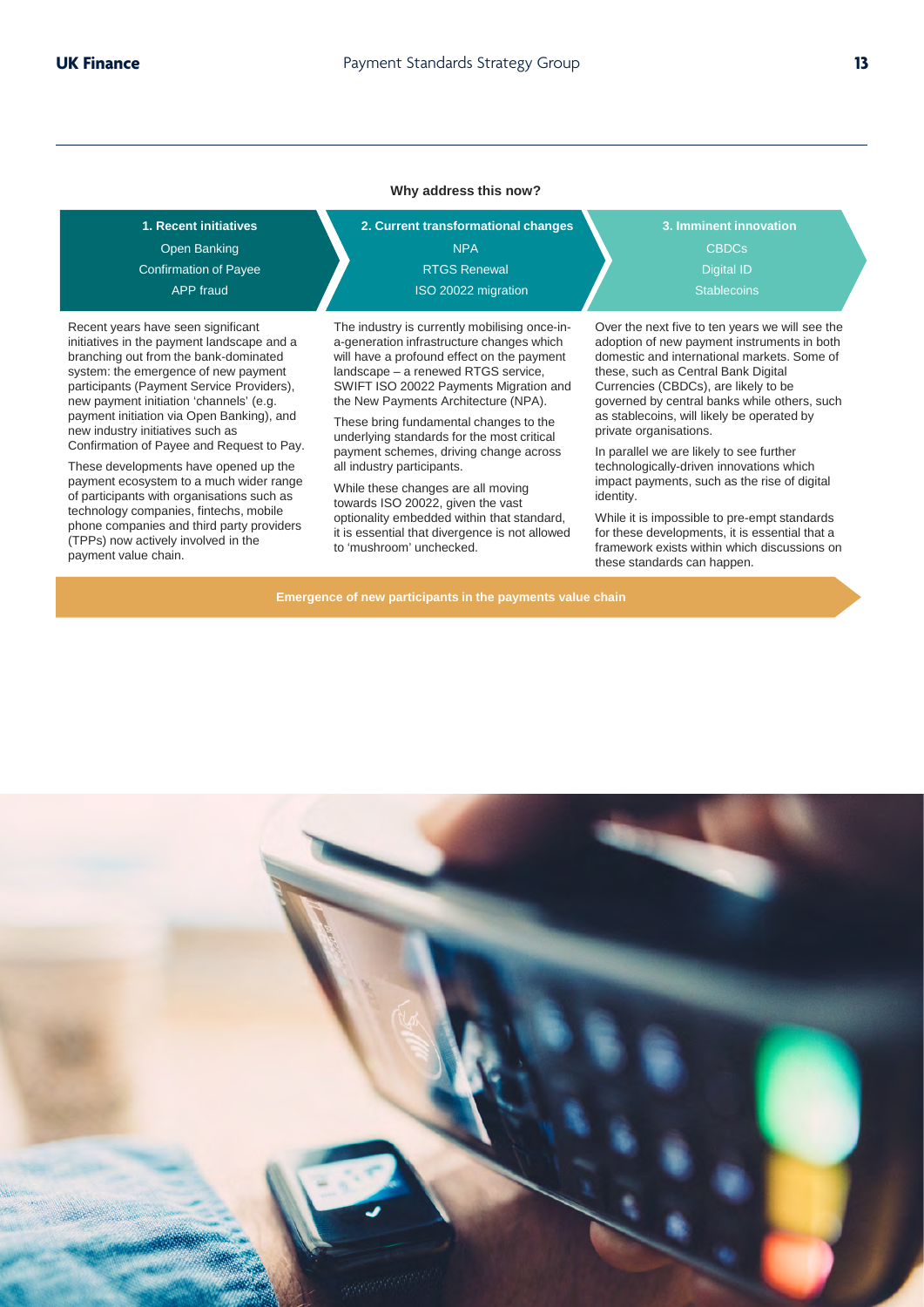#### **Why address this now?**

Confirmation of Payee APP fraud Open Banking

Recent years have seen significant initiatives in the payment landscape and a branching out from the bank-dominated system: the emergence of new payment participants (Payment Service Providers), new payment initiation 'channels' (e.g. payment initiation via Open Banking), and new industry initiatives such as Confirmation of Payee and Request to Pay.

These developments have opened up the payment ecosystem to a much wider range of participants with organisations such as technology companies, fintechs, mobile phone companies and third party providers (TPPs) now actively involved in the payment value chain.

**1. Recent initiatives 2. Current transformational changes 3. Imminent innovation** NPA RTGS Renewal Digital ID ISO 20022 migration

> The industry is currently mobilising once-ina-generation infrastructure changes which will have a profound effect on the payment landscape – a renewed RTGS service, SWIFT ISO 20022 Payments Migration and the New Payments Architecture (NPA).

These bring fundamental changes to the underlying standards for the most critical payment schemes, driving change across all industry participants.

While these changes are all moving towards ISO 20022, given the vast optionality embedded within that standard, it is essential that divergence is not allowed to 'mushroom' unchecked.

**Emergence of new participants in the payments value chain**

CBDCs

Over the next five to ten years we will see the adoption of new payment instruments in both domestic and international markets. Some of these, such as Central Bank Digital Currencies (CBDCs), are likely to be governed by central banks while others, such as stablecoins, will likely be operated by private organisations.

In parallel we are likely to see further technologically-driven innovations which impact payments, such as the rise of digital identity.

While it is impossible to pre-empt standards for these developments, it is essential that a framework exists within which discussions on these standards can happen.

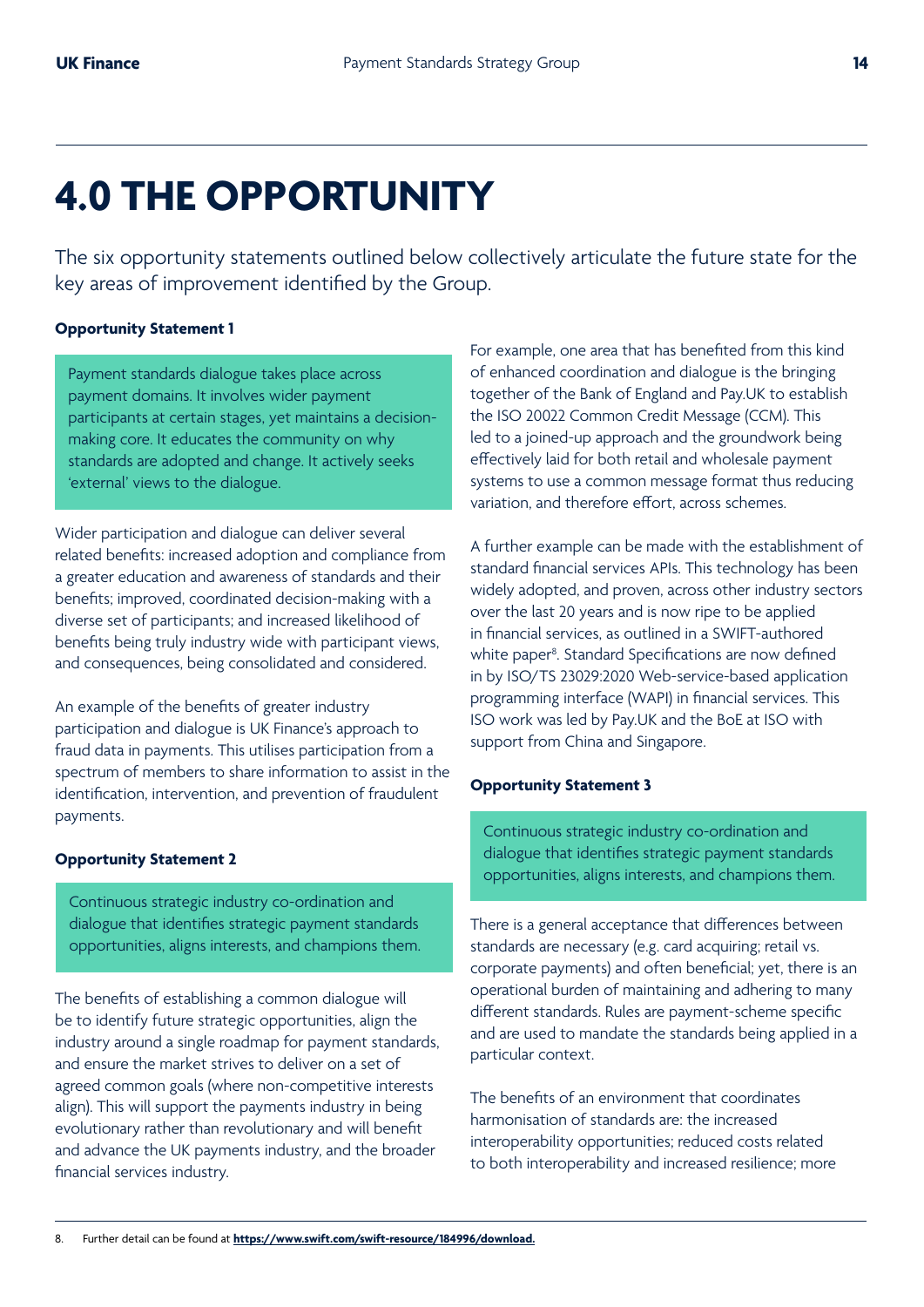## **4.0 THE OPPORTUNITY**

The six opportunity statements outlined below collectively articulate the future state for the key areas of improvement identified by the Group.

#### **Opportunity Statement 1**

Payment standards dialogue takes place across payment domains. It involves wider payment participants at certain stages, yet maintains a decisionmaking core. It educates the community on why standards are adopted and change. It actively seeks 'external' views to the dialogue.

Wider participation and dialogue can deliver several related benefits: increased adoption and compliance from a greater education and awareness of standards and their benefits; improved, coordinated decision-making with a diverse set of participants; and increased likelihood of benefits being truly industry wide with participant views, and consequences, being consolidated and considered.

An example of the benefits of greater industry participation and dialogue is UK Finance's approach to fraud data in payments. This utilises participation from a spectrum of members to share information to assist in the identification, intervention, and prevention of fraudulent payments.

#### **Opportunity Statement 2**

Continuous strategic industry co-ordination and dialogue that identifies strategic payment standards opportunities, aligns interests, and champions them.

The benefits of establishing a common dialogue will be to identify future strategic opportunities, align the industry around a single roadmap for payment standards, and ensure the market strives to deliver on a set of agreed common goals (where non-competitive interests align). This will support the payments industry in being evolutionary rather than revolutionary and will benefit and advance the UK payments industry, and the broader financial services industry.

For example, one area that has benefited from this kind of enhanced coordination and dialogue is the bringing together of the Bank of England and Pay.UK to establish the ISO 20022 Common Credit Message (CCM). This led to a joined-up approach and the groundwork being effectively laid for both retail and wholesale payment systems to use a common message format thus reducing variation, and therefore effort, across schemes.

A further example can be made with the establishment of standard financial services APIs. This technology has been widely adopted, and proven, across other industry sectors over the last 20 years and is now ripe to be applied in financial services, as outlined in a SWIFT-authored white paper<sup>8</sup>. Standard Specifications are now defined in by ISO/TS 23029:2020 Web-service-based application programming interface (WAPI) in financial services. This ISO work was led by Pay.UK and the BoE at ISO with support from China and Singapore.

#### **Opportunity Statement 3**

Continuous strategic industry co-ordination and dialogue that identifies strategic payment standards opportunities, aligns interests, and champions them.

There is a general acceptance that differences between standards are necessary (e.g. card acquiring; retail vs. corporate payments) and often beneficial; yet, there is an operational burden of maintaining and adhering to many different standards. Rules are payment-scheme specific and are used to mandate the standards being applied in a particular context.

The benefits of an environment that coordinates harmonisation of standards are: the increased interoperability opportunities; reduced costs related to both interoperability and increased resilience; more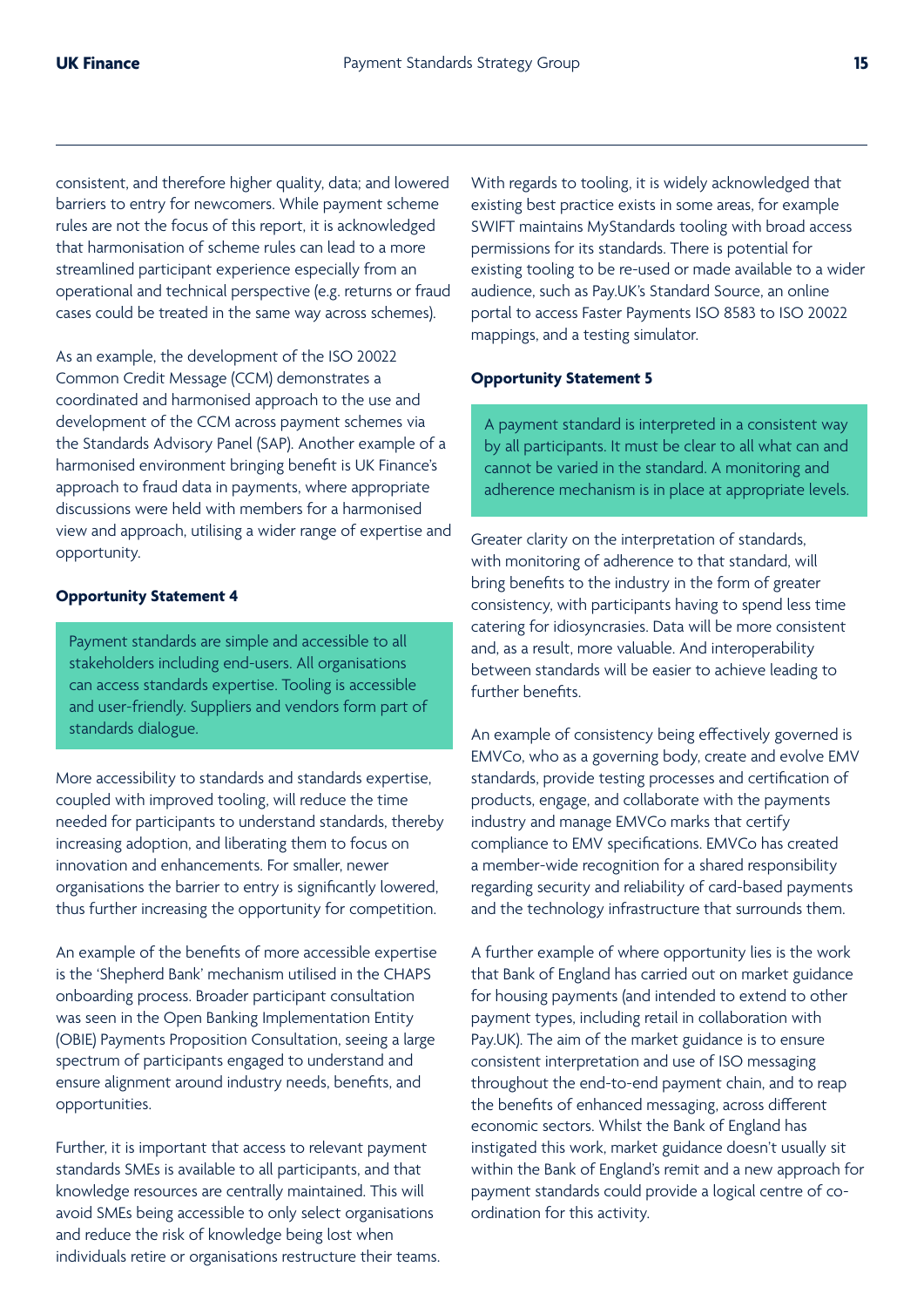consistent, and therefore higher quality, data; and lowered barriers to entry for newcomers. While payment scheme rules are not the focus of this report, it is acknowledged that harmonisation of scheme rules can lead to a more streamlined participant experience especially from an operational and technical perspective (e.g. returns or fraud cases could be treated in the same way across schemes).

As an example, the development of the ISO 20022 Common Credit Message (CCM) demonstrates a coordinated and harmonised approach to the use and development of the CCM across payment schemes via the Standards Advisory Panel (SAP). Another example of a harmonised environment bringing benefit is UK Finance's approach to fraud data in payments, where appropriate discussions were held with members for a harmonised view and approach, utilising a wider range of expertise and opportunity.

#### **Opportunity Statement 4**

Payment standards are simple and accessible to all stakeholders including end-users. All organisations can access standards expertise. Tooling is accessible and user-friendly. Suppliers and vendors form part of standards dialogue.

More accessibility to standards and standards expertise, coupled with improved tooling, will reduce the time needed for participants to understand standards, thereby increasing adoption, and liberating them to focus on innovation and enhancements. For smaller, newer organisations the barrier to entry is significantly lowered, thus further increasing the opportunity for competition.

An example of the benefits of more accessible expertise is the 'Shepherd Bank' mechanism utilised in the CHAPS onboarding process. Broader participant consultation was seen in the Open Banking Implementation Entity (OBIE) Payments Proposition Consultation, seeing a large spectrum of participants engaged to understand and ensure alignment around industry needs, benefits, and opportunities.

Further, it is important that access to relevant payment standards SMEs is available to all participants, and that knowledge resources are centrally maintained. This will avoid SMEs being accessible to only select organisations and reduce the risk of knowledge being lost when individuals retire or organisations restructure their teams. With regards to tooling, it is widely acknowledged that existing best practice exists in some areas, for example SWIFT maintains MyStandards tooling with broad access permissions for its standards. There is potential for existing tooling to be re-used or made available to a wider audience, such as Pay.UK's Standard Source, an online portal to access Faster Payments ISO 8583 to ISO 20022 mappings, and a testing simulator.

#### **Opportunity Statement 5**

A payment standard is interpreted in a consistent way by all participants. It must be clear to all what can and cannot be varied in the standard. A monitoring and adherence mechanism is in place at appropriate levels.

Greater clarity on the interpretation of standards, with monitoring of adherence to that standard, will bring benefits to the industry in the form of greater consistency, with participants having to spend less time catering for idiosyncrasies. Data will be more consistent and, as a result, more valuable. And interoperability between standards will be easier to achieve leading to further benefits.

An example of consistency being effectively governed is EMVCo, who as a governing body, create and evolve EMV standards, provide testing processes and certification of products, engage, and collaborate with the payments industry and manage EMVCo marks that certify compliance to EMV specifications. EMVCo has created a member-wide recognition for a shared responsibility regarding security and reliability of card-based payments and the technology infrastructure that surrounds them.

A further example of where opportunity lies is the work that Bank of England has carried out on market guidance for housing payments (and intended to extend to other payment types, including retail in collaboration with Pay.UK). The aim of the market guidance is to ensure consistent interpretation and use of ISO messaging throughout the end-to-end payment chain, and to reap the benefits of enhanced messaging, across different economic sectors. Whilst the Bank of England has instigated this work, market guidance doesn't usually sit within the Bank of England's remit and a new approach for payment standards could provide a logical centre of coordination for this activity.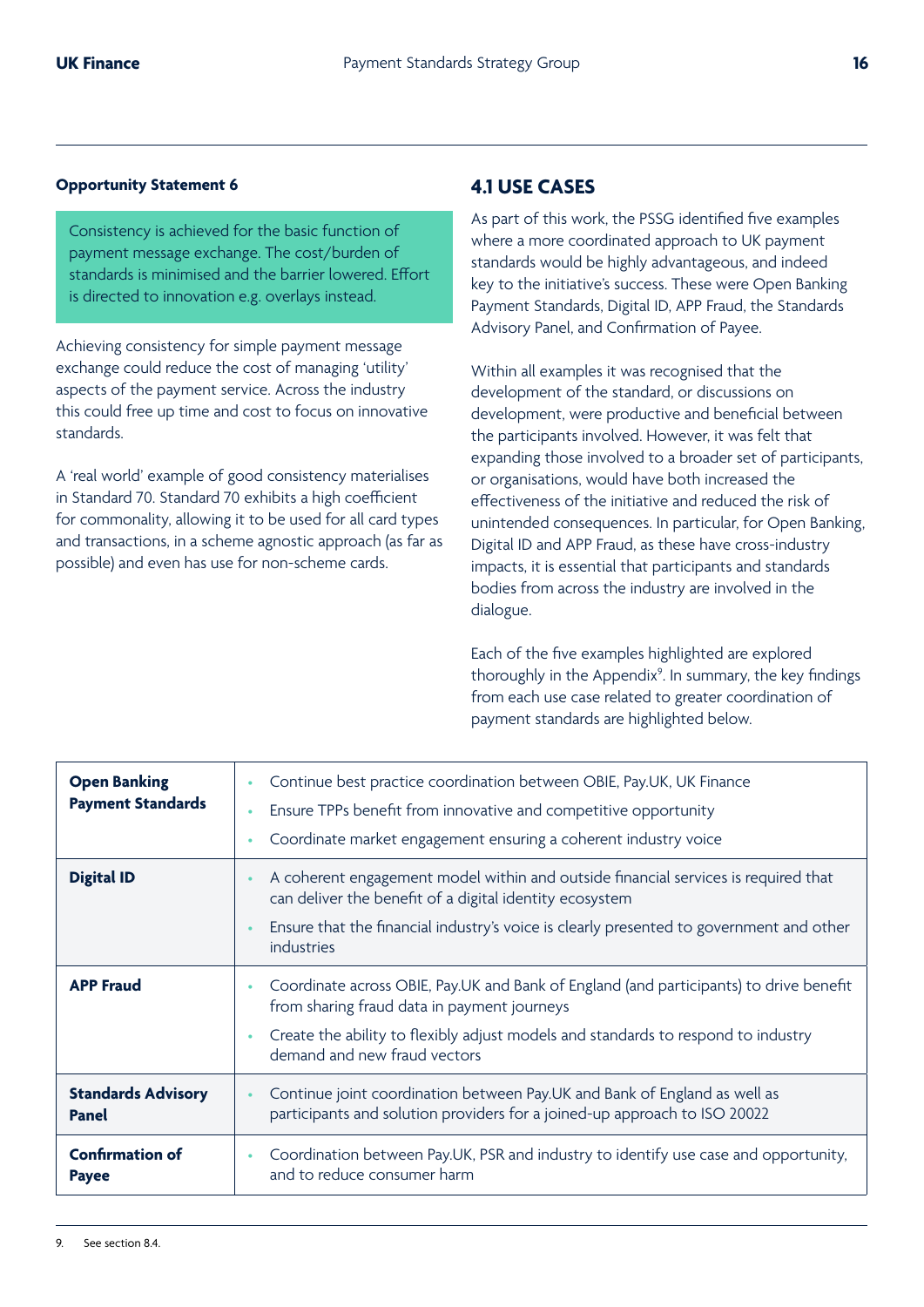#### **Opportunity Statement 6**

Consistency is achieved for the basic function of payment message exchange. The cost/burden of standards is minimised and the barrier lowered. Effort is directed to innovation e.g. overlays instead.

Achieving consistency for simple payment message exchange could reduce the cost of managing 'utility' aspects of the payment service. Across the industry this could free up time and cost to focus on innovative standards.

A 'real world' example of good consistency materialises in Standard 70. Standard 70 exhibits a high coefficient for commonality, allowing it to be used for all card types and transactions, in a scheme agnostic approach (as far as possible) and even has use for non-scheme cards.

## **4.1 USE CASES**

As part of this work, the PSSG identified five examples where a more coordinated approach to UK payment standards would be highly advantageous, and indeed key to the initiative's success. These were Open Banking Payment Standards, Digital ID, APP Fraud, the Standards Advisory Panel, and Confirmation of Payee.

Within all examples it was recognised that the development of the standard, or discussions on development, were productive and beneficial between the participants involved. However, it was felt that expanding those involved to a broader set of participants, or organisations, would have both increased the effectiveness of the initiative and reduced the risk of unintended consequences. In particular, for Open Banking, Digital ID and APP Fraud, as these have cross-industry impacts, it is essential that participants and standards bodies from across the industry are involved in the dialogue.

Each of the five examples highlighted are explored thoroughly in the Appendix<sup>9</sup>. In summary, the key findings from each use case related to greater coordination of payment standards are highlighted below.

| <b>Open Banking</b><br><b>Payment Standards</b> | Continue best practice coordination between OBIE, Pay.UK, UK Finance<br>Ensure TPPs benefit from innovative and competitive opportunity<br>Coordinate market engagement ensuring a coherent industry voice                                                 |
|-------------------------------------------------|------------------------------------------------------------------------------------------------------------------------------------------------------------------------------------------------------------------------------------------------------------|
| <b>Digital ID</b>                               | A coherent engagement model within and outside financial services is required that<br>can deliver the benefit of a digital identity ecosystem<br>Ensure that the financial industry's voice is clearly presented to government and other<br>industries     |
| <b>APP Fraud</b>                                | Coordinate across OBIE, Pay.UK and Bank of England (and participants) to drive benefit<br>from sharing fraud data in payment journeys<br>Create the ability to flexibly adjust models and standards to respond to industry<br>demand and new fraud vectors |
| <b>Standards Advisory</b><br><b>Panel</b>       | Continue joint coordination between Pay.UK and Bank of England as well as<br>participants and solution providers for a joined-up approach to ISO 20022                                                                                                     |
| <b>Confirmation of</b><br><b>Payee</b>          | Coordination between Pay.UK, PSR and industry to identify use case and opportunity,<br>and to reduce consumer harm                                                                                                                                         |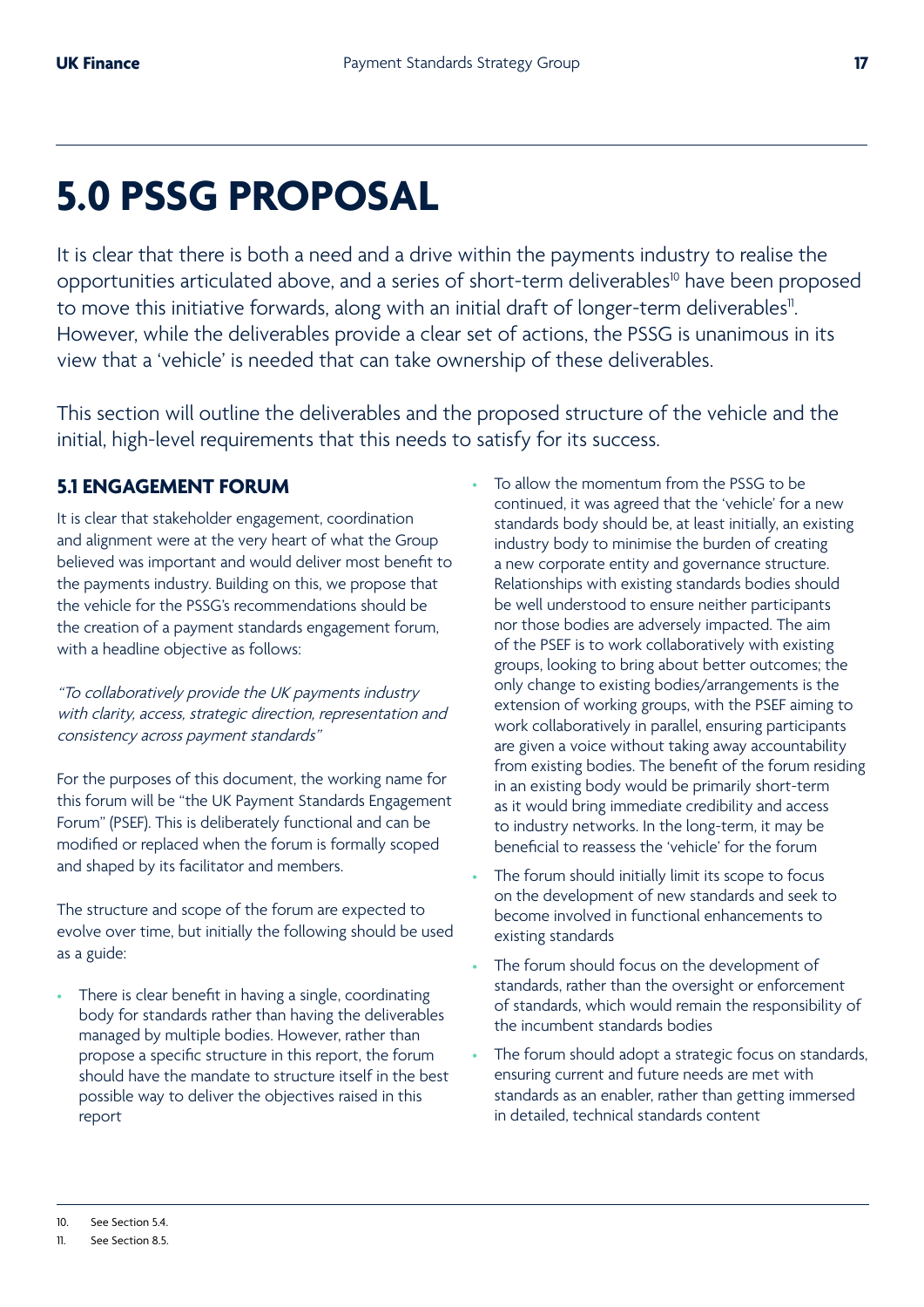## **5.0 PSSG PROPOSAL**

It is clear that there is both a need and a drive within the payments industry to realise the opportunities articulated above, and a series of short-term deliverables<sup>10</sup> have been proposed to move this initiative forwards, along with an initial draft of longer-term deliverables". However, while the deliverables provide a clear set of actions, the PSSG is unanimous in its view that a 'vehicle' is needed that can take ownership of these deliverables.

This section will outline the deliverables and the proposed structure of the vehicle and the initial, high-level requirements that this needs to satisfy for its success.

## **5.1 ENGAGEMENT FORUM**

It is clear that stakeholder engagement, coordination and alignment were at the very heart of what the Group believed was important and would deliver most benefit to the payments industry. Building on this, we propose that the vehicle for the PSSG's recommendations should be the creation of a payment standards engagement forum, with a headline objective as follows:

"To collaboratively provide the UK payments industry with clarity, access, strategic direction, representation and consistency across payment standards"

For the purposes of this document, the working name for this forum will be "the UK Payment Standards Engagement Forum" (PSEF). This is deliberately functional and can be modified or replaced when the forum is formally scoped and shaped by its facilitator and members.

The structure and scope of the forum are expected to evolve over time, but initially the following should be used as a guide:

There is clear benefit in having a single, coordinating body for standards rather than having the deliverables managed by multiple bodies. However, rather than propose a specific structure in this report, the forum should have the mandate to structure itself in the best possible way to deliver the objectives raised in this report

- To allow the momentum from the PSSG to be continued, it was agreed that the 'vehicle' for a new standards body should be, at least initially, an existing industry body to minimise the burden of creating a new corporate entity and governance structure. Relationships with existing standards bodies should be well understood to ensure neither participants nor those bodies are adversely impacted. The aim of the PSEF is to work collaboratively with existing groups, looking to bring about better outcomes; the only change to existing bodies/arrangements is the extension of working groups, with the PSEF aiming to work collaboratively in parallel, ensuring participants are given a voice without taking away accountability from existing bodies. The benefit of the forum residing in an existing body would be primarily short-term as it would bring immediate credibility and access to industry networks. In the long-term, it may be beneficial to reassess the 'vehicle' for the forum
- The forum should initially limit its scope to focus on the development of new standards and seek to become involved in functional enhancements to existing standards
- The forum should focus on the development of standards, rather than the oversight or enforcement of standards, which would remain the responsibility of the incumbent standards bodies
- The forum should adopt a strategic focus on standards, ensuring current and future needs are met with standards as an enabler, rather than getting immersed in detailed, technical standards content

<sup>10.</sup> See Section 5.4.

<sup>11.</sup> See Section 8.5.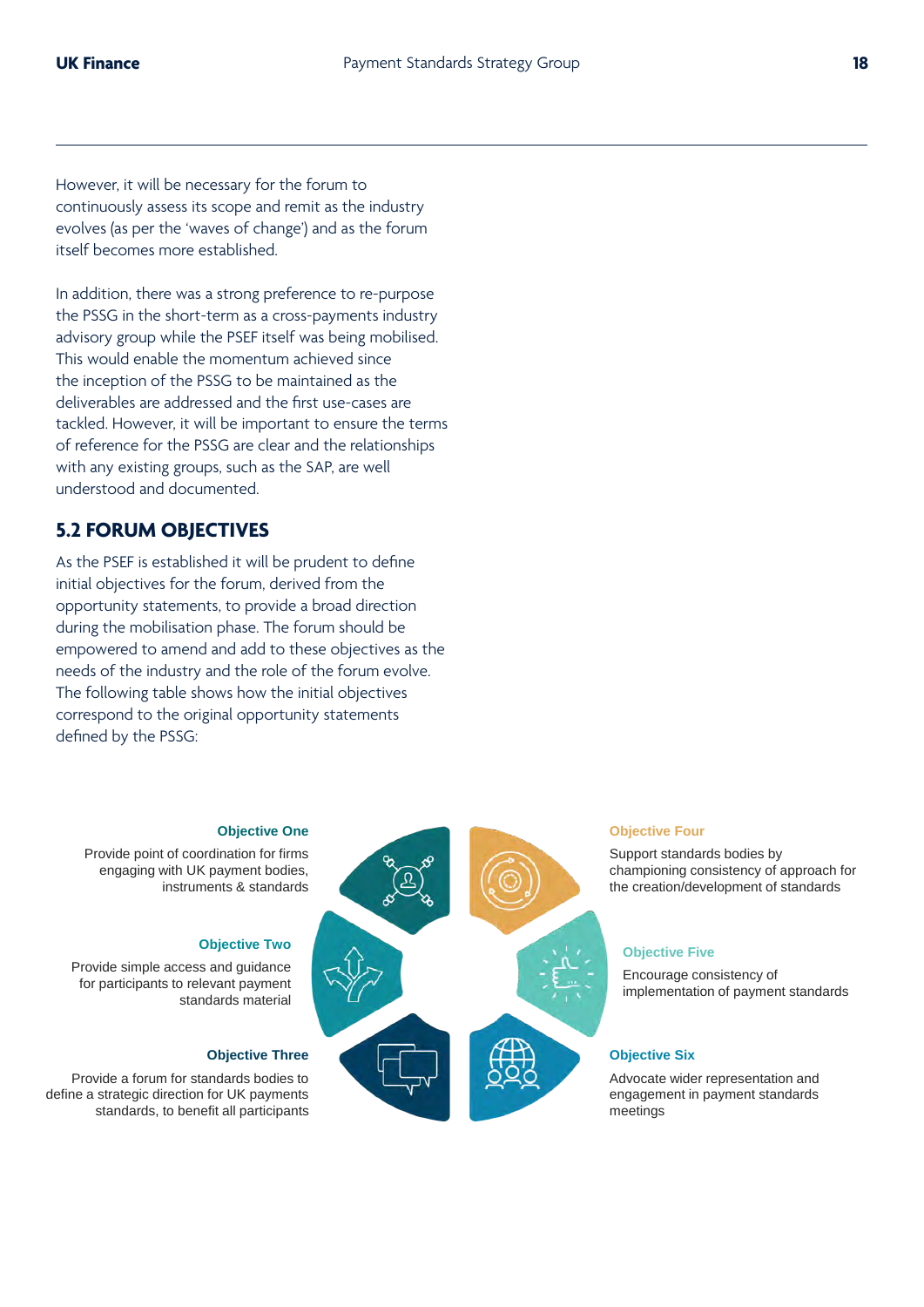However, it will be necessary for the forum to continuously assess its scope and remit as the industry evolves (as per the 'waves of change') and as the forum itself becomes more established.

In addition, there was a strong preference to re-purpose the PSSG in the short-term as a cross-payments industry advisory group while the PSEF itself was being mobilised. This would enable the momentum achieved since the inception of the PSSG to be maintained as the deliverables are addressed and the first use-cases are tackled. However, it will be important to ensure the terms of reference for the PSSG are clear and the relationships with any existing groups, such as the SAP, are well understood and documented.

#### **5.2 FORUM OBJECTIVES**

As the PSEF is established it will be prudent to define initial objectives for the forum, derived from the opportunity statements, to provide a broad direction during the mobilisation phase. The forum should be empowered to amend and add to these objectives as the needs of the industry and the role of the forum evolve. The following table shows how the initial objectives correspond to the original opportunity statements defined by the PSSG:

#### **Objective One**

Provide point of coordination for firms engaging with UK payment bodies, instruments & standards

#### **Objective Two**

Provide simple access and guidance for participants to relevant payment standards material

#### **Objective Three**

Provide a forum for standards bodies to define a strategic direction for UK payments standards, to benefit all participants





Support standards bodies by championing consistency of approach for the creation/development of standards

#### **Objective Five**

Encourage consistency of implementation of payment standards

#### **Objective Six**

Advocate wider representation and engagement in payment standards meetings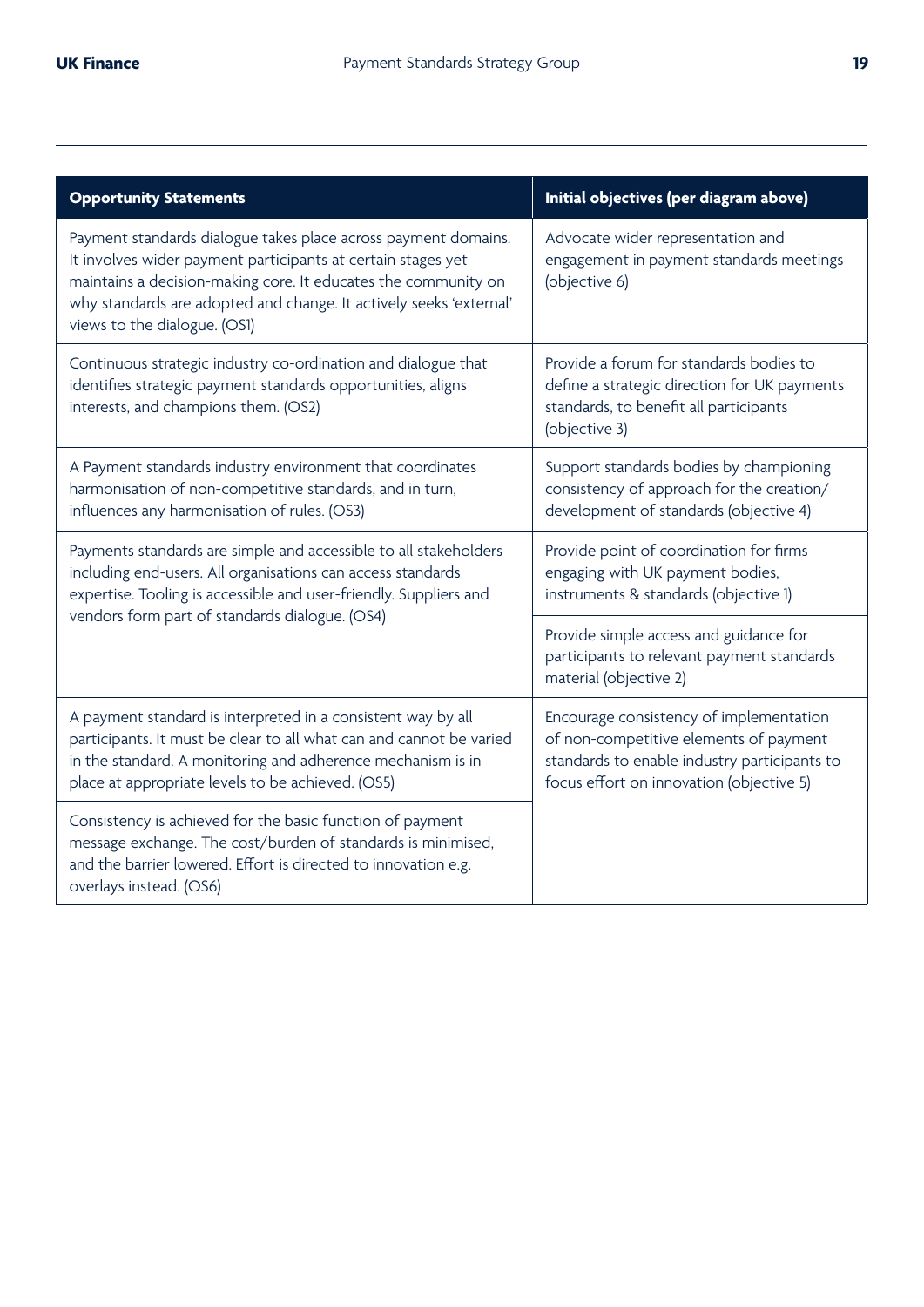| <b>Opportunity Statements</b>                                                                                                                                                                                                                                                                          | Initial objectives (per diagram above)                                                                                                                                        |  |
|--------------------------------------------------------------------------------------------------------------------------------------------------------------------------------------------------------------------------------------------------------------------------------------------------------|-------------------------------------------------------------------------------------------------------------------------------------------------------------------------------|--|
| Payment standards dialogue takes place across payment domains.<br>It involves wider payment participants at certain stages yet<br>maintains a decision-making core. It educates the community on<br>why standards are adopted and change. It actively seeks 'external'<br>views to the dialogue. (OSI) | Advocate wider representation and<br>engagement in payment standards meetings<br>(objective 6)                                                                                |  |
| Continuous strategic industry co-ordination and dialogue that<br>identifies strategic payment standards opportunities, aligns<br>interests, and champions them. (OS2)                                                                                                                                  | Provide a forum for standards bodies to<br>define a strategic direction for UK payments<br>standards, to benefit all participants<br>(objective 3)                            |  |
| A Payment standards industry environment that coordinates<br>harmonisation of non-competitive standards, and in turn,<br>influences any harmonisation of rules. (OS3)                                                                                                                                  | Support standards bodies by championing<br>consistency of approach for the creation/<br>development of standards (objective 4)                                                |  |
| Payments standards are simple and accessible to all stakeholders<br>including end-users. All organisations can access standards<br>expertise. Tooling is accessible and user-friendly. Suppliers and                                                                                                   | Provide point of coordination for firms<br>engaging with UK payment bodies,<br>instruments & standards (objective 1)                                                          |  |
| vendors form part of standards dialogue. (OS4)                                                                                                                                                                                                                                                         | Provide simple access and guidance for<br>participants to relevant payment standards<br>material (objective 2)                                                                |  |
| A payment standard is interpreted in a consistent way by all<br>participants. It must be clear to all what can and cannot be varied<br>in the standard. A monitoring and adherence mechanism is in<br>place at appropriate levels to be achieved. (OS5)                                                | Encourage consistency of implementation<br>of non-competitive elements of payment<br>standards to enable industry participants to<br>focus effort on innovation (objective 5) |  |
| Consistency is achieved for the basic function of payment<br>message exchange. The cost/burden of standards is minimised,<br>and the barrier lowered. Effort is directed to innovation e.g.<br>overlays instead. (OS6)                                                                                 |                                                                                                                                                                               |  |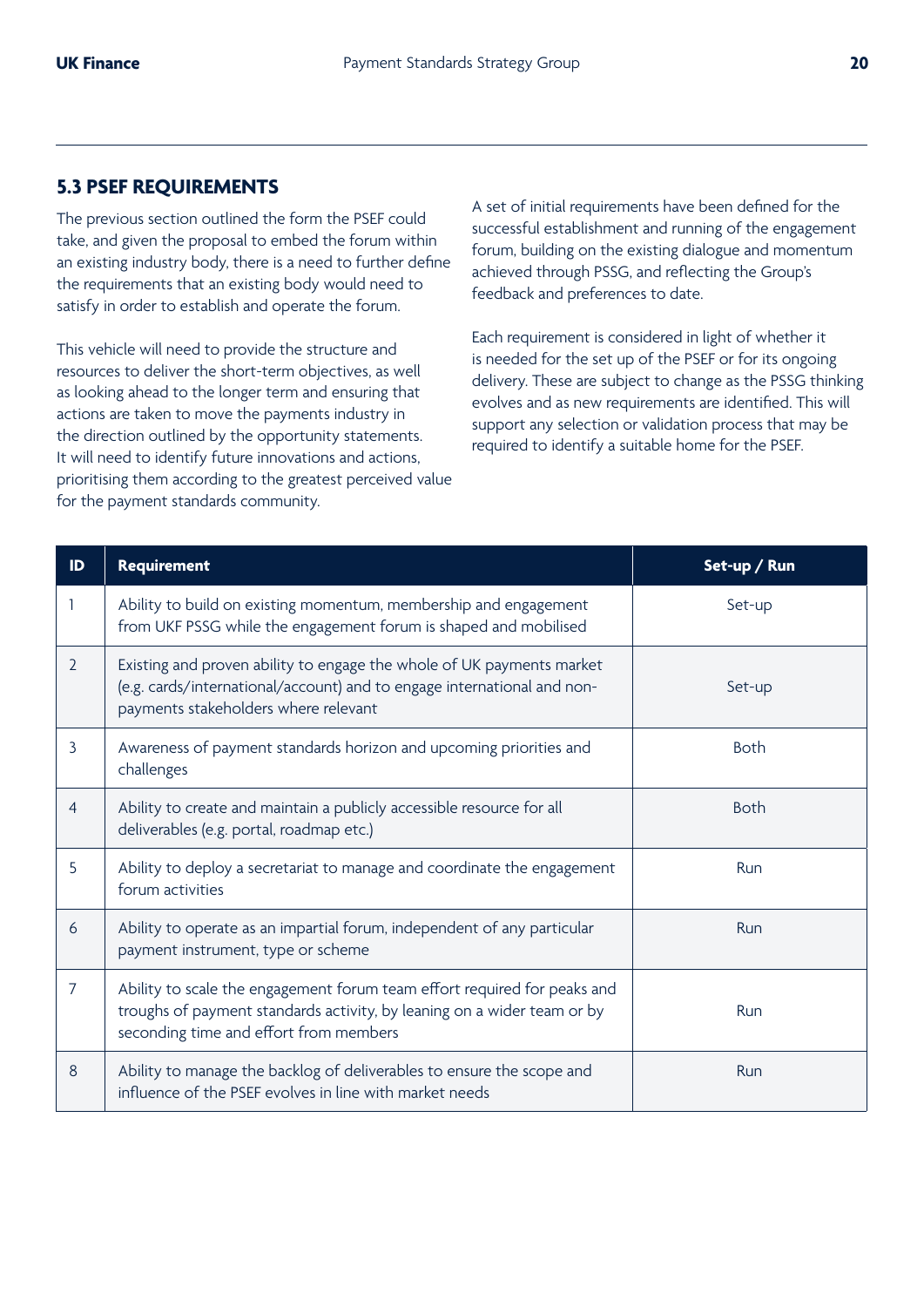### **5.3 PSEF REQUIREMENTS**

The previous section outlined the form the PSEF could take, and given the proposal to embed the forum within an existing industry body, there is a need to further define the requirements that an existing body would need to satisfy in order to establish and operate the forum.

This vehicle will need to provide the structure and resources to deliver the short-term objectives, as well as looking ahead to the longer term and ensuring that actions are taken to move the payments industry in the direction outlined by the opportunity statements. It will need to identify future innovations and actions, prioritising them according to the greatest perceived value for the payment standards community.

A set of initial requirements have been defined for the successful establishment and running of the engagement forum, building on the existing dialogue and momentum achieved through PSSG, and reflecting the Group's feedback and preferences to date.

Each requirement is considered in light of whether it is needed for the set up of the PSEF or for its ongoing delivery. These are subject to change as the PSSG thinking evolves and as new requirements are identified. This will support any selection or validation process that may be required to identify a suitable home for the PSEF.

| ID             | <b>Requirement</b>                                                                                                                                                                            | Set-up / Run |
|----------------|-----------------------------------------------------------------------------------------------------------------------------------------------------------------------------------------------|--------------|
|                | Ability to build on existing momentum, membership and engagement<br>from UKF PSSG while the engagement forum is shaped and mobilised                                                          | Set-up       |
| $\overline{2}$ | Existing and proven ability to engage the whole of UK payments market<br>(e.g. cards/international/account) and to engage international and non-<br>payments stakeholders where relevant      | Set-up       |
| 3              | Awareness of payment standards horizon and upcoming priorities and<br>challenges                                                                                                              | <b>Both</b>  |
| $\overline{4}$ | Ability to create and maintain a publicly accessible resource for all<br>deliverables (e.g. portal, roadmap etc.)                                                                             | <b>Both</b>  |
| 5              | Ability to deploy a secretariat to manage and coordinate the engagement<br>forum activities                                                                                                   | Run          |
| 6              | Ability to operate as an impartial forum, independent of any particular<br>payment instrument, type or scheme                                                                                 | Run          |
| $\overline{7}$ | Ability to scale the engagement forum team effort required for peaks and<br>troughs of payment standards activity, by leaning on a wider team or by<br>seconding time and effort from members | Run          |
| 8              | Ability to manage the backlog of deliverables to ensure the scope and<br>influence of the PSEF evolves in line with market needs                                                              | Run          |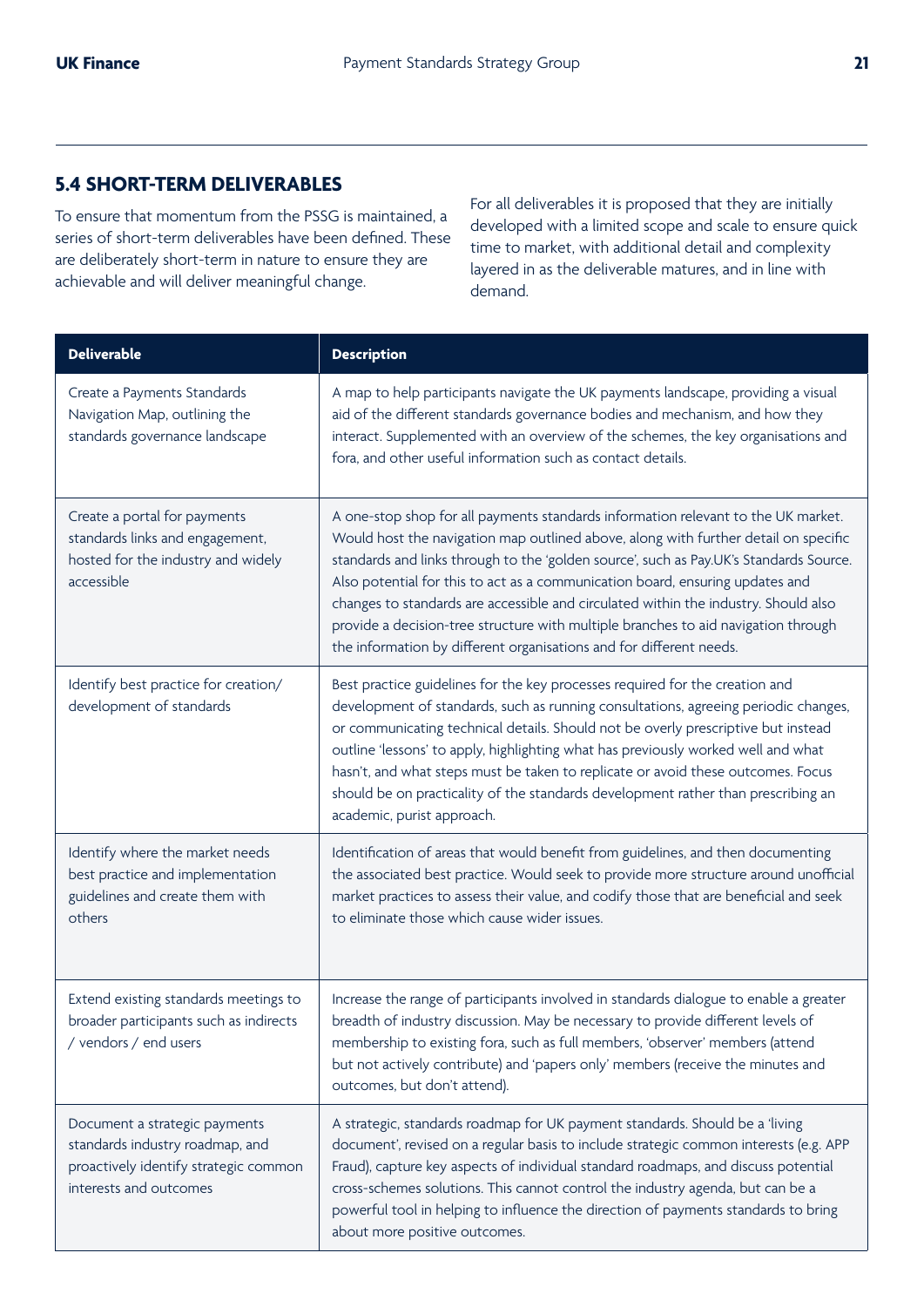## **5.4 SHORT-TERM DELIVERABLES**

To ensure that momentum from the PSSG is maintained, a series of short-term deliverables have been defined. These are deliberately short-term in nature to ensure they are achievable and will deliver meaningful change.

For all deliverables it is proposed that they are initially developed with a limited scope and scale to ensure quick time to market, with additional detail and complexity layered in as the deliverable matures, and in line with demand.

| <b>Deliverable</b>                                                                                                                  | <b>Description</b>                                                                                                                                                                                                                                                                                                                                                                                                                                                                                                                                                                                      |
|-------------------------------------------------------------------------------------------------------------------------------------|---------------------------------------------------------------------------------------------------------------------------------------------------------------------------------------------------------------------------------------------------------------------------------------------------------------------------------------------------------------------------------------------------------------------------------------------------------------------------------------------------------------------------------------------------------------------------------------------------------|
| Create a Payments Standards<br>Navigation Map, outlining the<br>standards governance landscape                                      | A map to help participants navigate the UK payments landscape, providing a visual<br>aid of the different standards governance bodies and mechanism, and how they<br>interact. Supplemented with an overview of the schemes, the key organisations and<br>fora, and other useful information such as contact details.                                                                                                                                                                                                                                                                                   |
| Create a portal for payments<br>standards links and engagement,<br>hosted for the industry and widely<br>accessible                 | A one-stop shop for all payments standards information relevant to the UK market.<br>Would host the navigation map outlined above, along with further detail on specific<br>standards and links through to the 'golden source', such as Pay.UK's Standards Source.<br>Also potential for this to act as a communication board, ensuring updates and<br>changes to standards are accessible and circulated within the industry. Should also<br>provide a decision-tree structure with multiple branches to aid navigation through<br>the information by different organisations and for different needs. |
| Identify best practice for creation/<br>development of standards                                                                    | Best practice guidelines for the key processes required for the creation and<br>development of standards, such as running consultations, agreeing periodic changes,<br>or communicating technical details. Should not be overly prescriptive but instead<br>outline 'lessons' to apply, highlighting what has previously worked well and what<br>hasn't, and what steps must be taken to replicate or avoid these outcomes. Focus<br>should be on practicality of the standards development rather than prescribing an<br>academic, purist approach.                                                    |
| Identify where the market needs<br>best practice and implementation<br>guidelines and create them with<br>others                    | Identification of areas that would benefit from guidelines, and then documenting<br>the associated best practice. Would seek to provide more structure around unofficial<br>market practices to assess their value, and codify those that are beneficial and seek<br>to eliminate those which cause wider issues.                                                                                                                                                                                                                                                                                       |
| Extend existing standards meetings to<br>broader participants such as indirects<br>/ vendors / end users                            | Increase the range of participants involved in standards dialogue to enable a greater<br>breadth of industry discussion. May be necessary to provide different levels of<br>membership to existing fora, such as full members, 'observer' members (attend<br>but not actively contribute) and 'papers only' members (receive the minutes and<br>outcomes, but don't attend).                                                                                                                                                                                                                            |
| Document a strategic payments<br>standards industry roadmap, and<br>proactively identify strategic common<br>interests and outcomes | A strategic, standards roadmap for UK payment standards. Should be a 'living<br>document', revised on a regular basis to include strategic common interests (e.g. APP<br>Fraud), capture key aspects of individual standard roadmaps, and discuss potential<br>cross-schemes solutions. This cannot control the industry agenda, but can be a<br>powerful tool in helping to influence the direction of payments standards to bring<br>about more positive outcomes.                                                                                                                                    |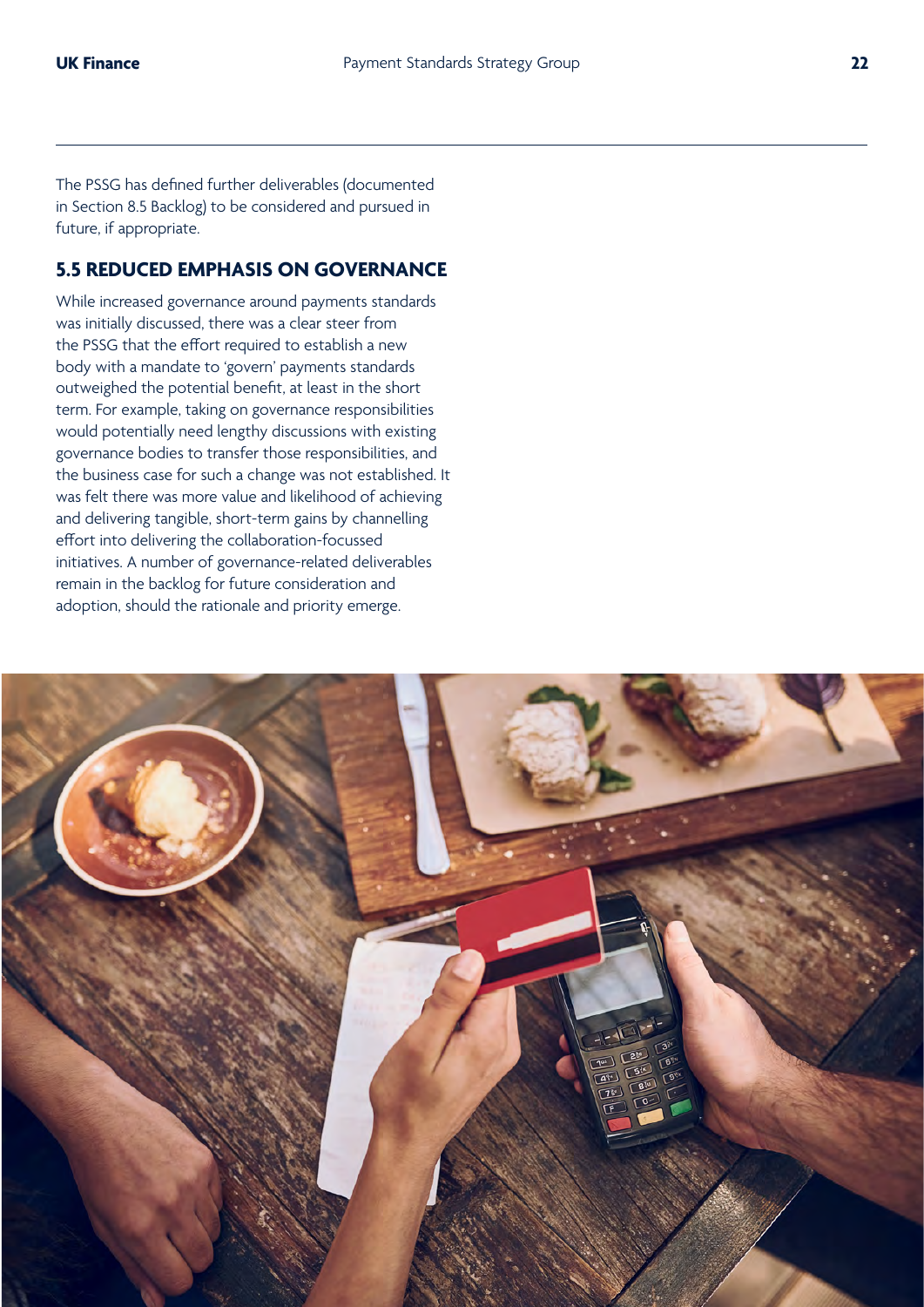The PSSG has defined further deliverables (documented in Section 8.5 Backlog) to be considered and pursued in future, if appropriate.

### **5.5 REDUCED EMPHASIS ON GOVERNANCE**

While increased governance around payments standards was initially discussed, there was a clear steer from the PSSG that the effort required to establish a new body with a mandate to 'govern' payments standards outweighed the potential benefit, at least in the short term. For example, taking on governance responsibilities would potentially need lengthy discussions with existing governance bodies to transfer those responsibilities, and the business case for such a change was not established. It was felt there was more value and likelihood of achieving and delivering tangible, short-term gains by channelling effort into delivering the collaboration-focussed initiatives. A number of governance-related deliverables remain in the backlog for future consideration and adoption, should the rationale and priority emerge.

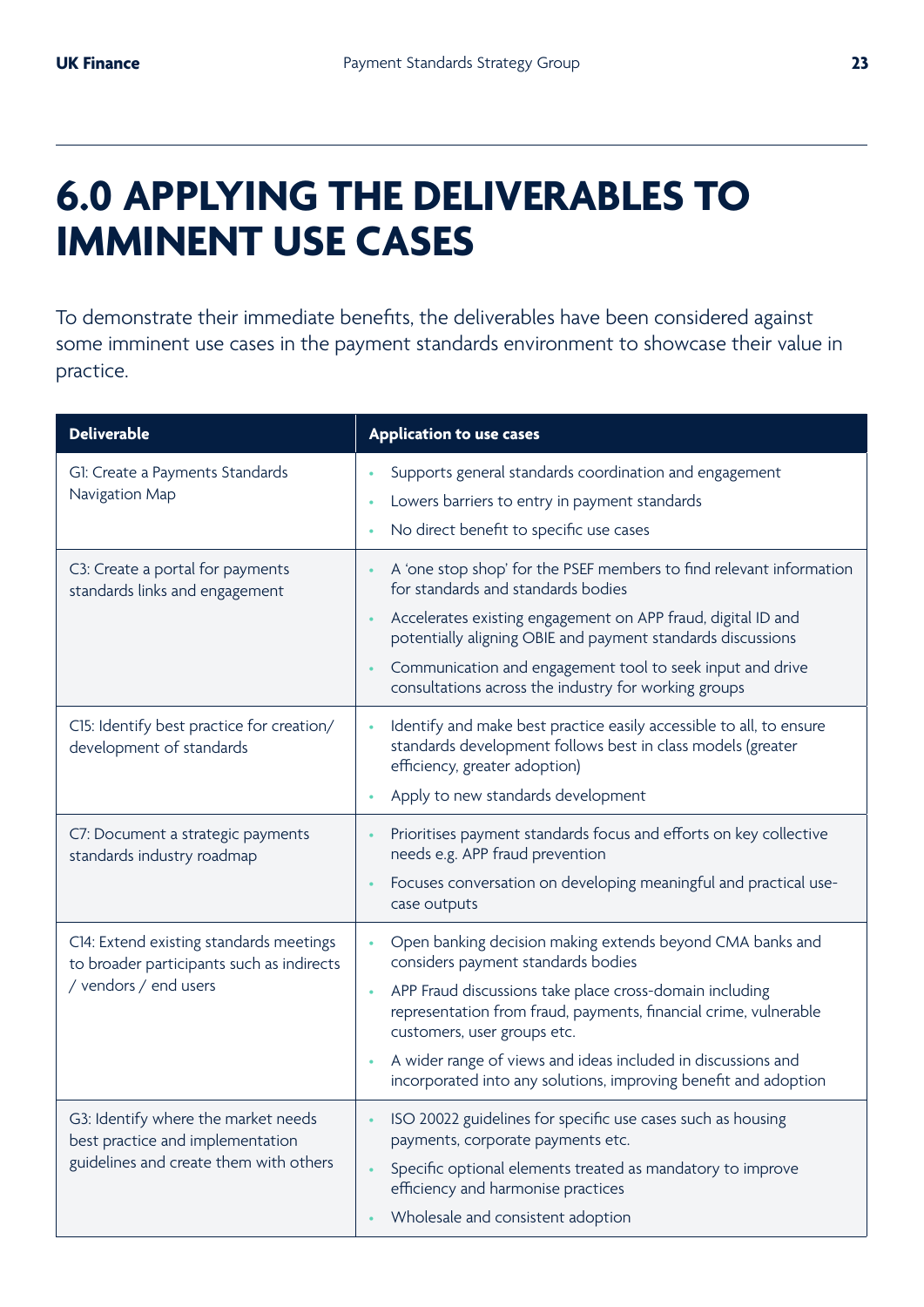## **6.0 APPLYING THE DELIVERABLES TO IMMINENT USE CASES**

To demonstrate their immediate benefits, the deliverables have been considered against some imminent use cases in the payment standards environment to showcase their value in practice.

| <b>Deliverable</b>                                                                                                | <b>Application to use cases</b>                                                                                                                                                                                                                                                                                                                                                                  |  |  |  |
|-------------------------------------------------------------------------------------------------------------------|--------------------------------------------------------------------------------------------------------------------------------------------------------------------------------------------------------------------------------------------------------------------------------------------------------------------------------------------------------------------------------------------------|--|--|--|
| G1: Create a Payments Standards<br>Navigation Map                                                                 | Supports general standards coordination and engagement<br>Lowers barriers to entry in payment standards<br>No direct benefit to specific use cases                                                                                                                                                                                                                                               |  |  |  |
| C3: Create a portal for payments<br>standards links and engagement                                                | A 'one stop shop' for the PSEF members to find relevant information<br>for standards and standards bodies<br>Accelerates existing engagement on APP fraud, digital ID and<br>potentially aligning OBIE and payment standards discussions<br>Communication and engagement tool to seek input and drive<br>consultations across the industry for working groups                                    |  |  |  |
| C15: Identify best practice for creation/<br>development of standards                                             | Identify and make best practice easily accessible to all, to ensure<br>standards development follows best in class models (greater<br>efficiency, greater adoption)<br>Apply to new standards development                                                                                                                                                                                        |  |  |  |
| C7: Document a strategic payments<br>standards industry roadmap                                                   | Prioritises payment standards focus and efforts on key collective<br>needs e.g. APP fraud prevention<br>Focuses conversation on developing meaningful and practical use-<br>case outputs                                                                                                                                                                                                         |  |  |  |
| C14: Extend existing standards meetings<br>to broader participants such as indirects<br>/ vendors / end users     | Open banking decision making extends beyond CMA banks and<br>considers payment standards bodies<br>APP Fraud discussions take place cross-domain including<br>representation from fraud, payments, financial crime, vulnerable<br>customers, user groups etc.<br>A wider range of views and ideas included in discussions and<br>incorporated into any solutions, improving benefit and adoption |  |  |  |
| G3: Identify where the market needs<br>best practice and implementation<br>guidelines and create them with others | ISO 20022 guidelines for specific use cases such as housing<br>payments, corporate payments etc.<br>Specific optional elements treated as mandatory to improve<br>efficiency and harmonise practices<br>Wholesale and consistent adoption                                                                                                                                                        |  |  |  |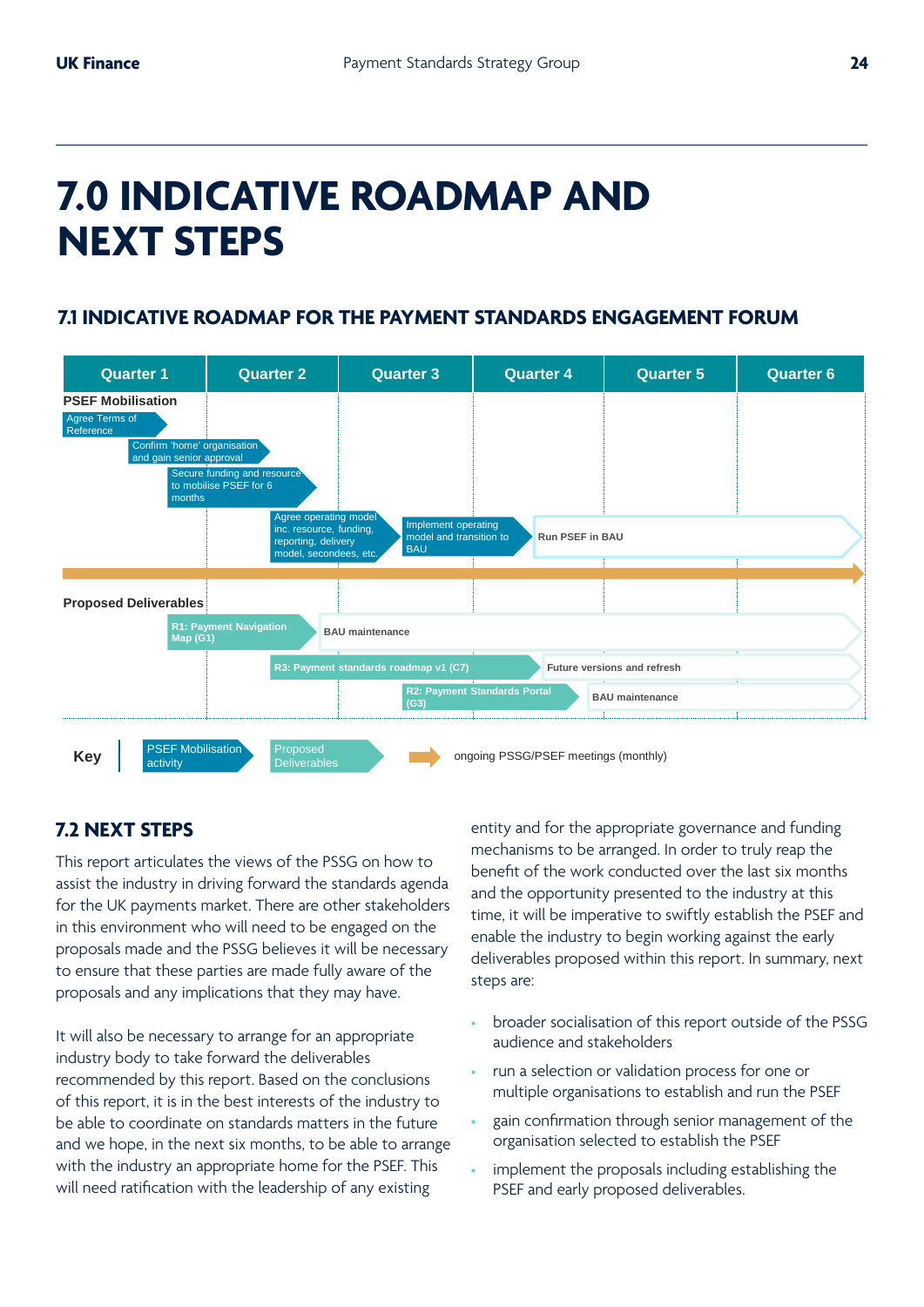## **7.0 INDICATIVE ROADMAP AND NEXT STEPS ZA INDI**

## **7.1 INDICATIVE ROADMAP FOR THE PAYMENT STANDARDS ENGAGEMENT FORUM**



### **7.2 NEXT STEPS**

for the UK payments market. There are other stakeholders assist the industry in driving forward the standards agenda This report articulates the views of the PSSG on how to in this environment who will need to be engaged on the proposals made and the PSSG believes it will be necessary to ensure that these parties are made fully aware of the proposals and any implications that they may have.

It will also be necessary to arrange for an appropriate industry body to take forward the deliverables recommended by this report. Based on the conclusions of this report, it is in the best interests of the industry to be able to coordinate on standards matters in the future and we hope, in the next six months, to be able to arrange with the industry an appropriate home for the PSEF. This will need ratification with the leadership of any existing

entity and for the appropriate governance and funding mechanisms to be arranged. In order to truly reap the benefit of the work conducted over the last six months and the opportunity presented to the industry at this time, it will be imperative to swiftly establish the PSEF and enable the industry to begin working against the early deliverables proposed within this report. In summary, next steps are:

- broader socialisation of this report outside of the PSSG audience and stakeholders
- run a selection or validation process for one or multiple organisations to establish and run the PSEF
- gain confirmation through senior management of the organisation selected to establish the PSEF
- implement the proposals including establishing the PSEF and early proposed deliverables.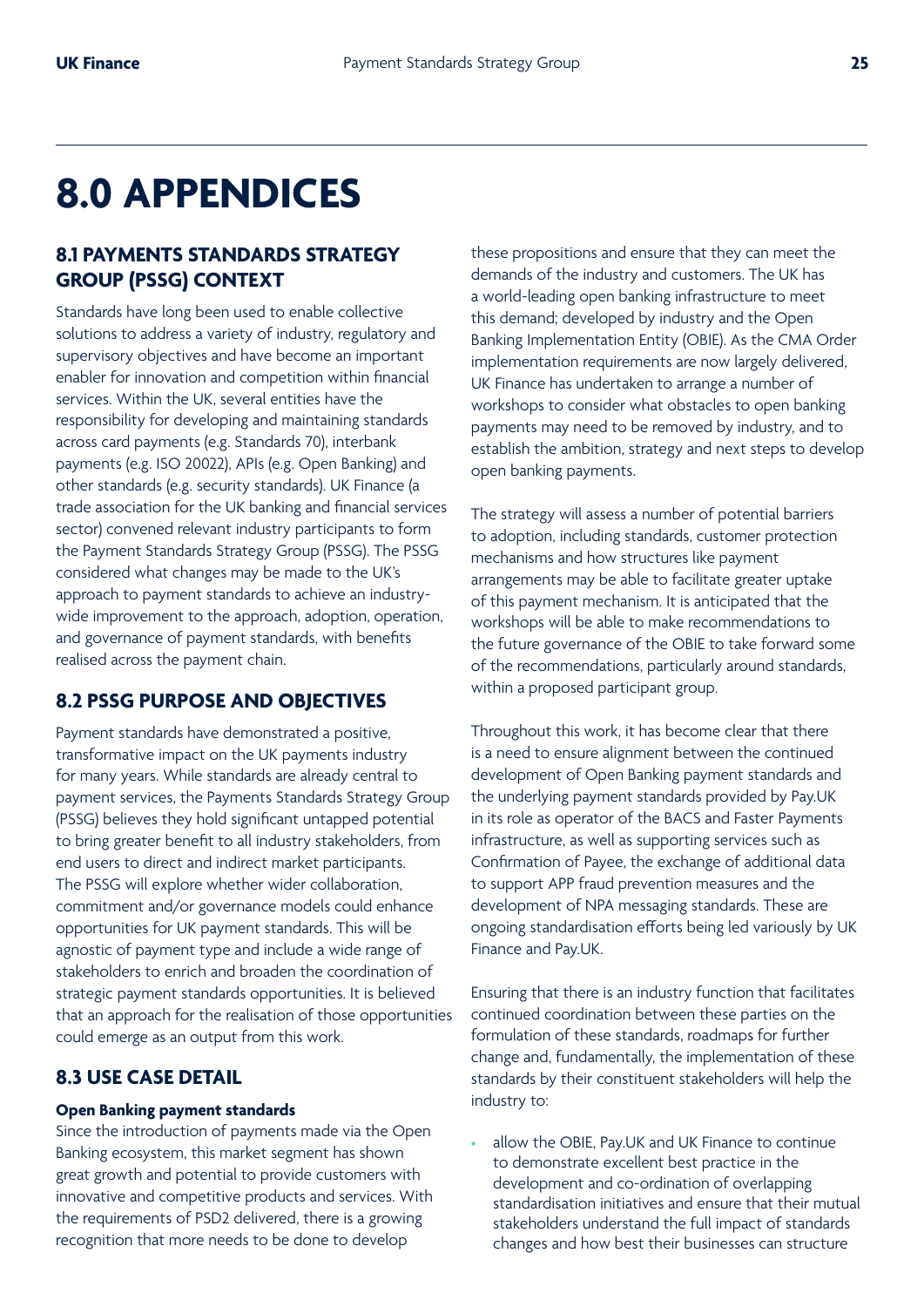## **8.0 APPENDICES**

### **8.1 PAYMENTS STANDARDS STRATEGY GROUP (PSSG) CONTEXT**

Standards have long been used to enable collective solutions to address a variety of industry, regulatory and supervisory objectives and have become an important enabler for innovation and competition within financial services. Within the UK, several entities have the responsibility for developing and maintaining standards across card payments (e.g. Standards 70), interbank payments (e.g. ISO 20022), APIs (e.g. Open Banking) and other standards (e.g. security standards). UK Finance (a trade association for the UK banking and financial services sector) convened relevant industry participants to form the Payment Standards Strategy Group (PSSG). The PSSG considered what changes may be made to the UK's approach to payment standards to achieve an industrywide improvement to the approach, adoption, operation, and governance of payment standards, with benefits realised across the payment chain.

#### **8.2 PSSG PURPOSE AND OBJECTIVES**

Payment standards have demonstrated a positive, transformative impact on the UK payments industry for many years. While standards are already central to payment services, the Payments Standards Strategy Group (PSSG) believes they hold significant untapped potential to bring greater benefit to all industry stakeholders, from end users to direct and indirect market participants. The PSSG will explore whether wider collaboration, commitment and/or governance models could enhance opportunities for UK payment standards. This will be agnostic of payment type and include a wide range of stakeholders to enrich and broaden the coordination of strategic payment standards opportunities. It is believed that an approach for the realisation of those opportunities could emerge as an output from this work.

### **8.3 USE CASE DETAIL**

#### **Open Banking payment standards**

Since the introduction of payments made via the Open Banking ecosystem, this market segment has shown great growth and potential to provide customers with innovative and competitive products and services. With the requirements of PSD2 delivered, there is a growing recognition that more needs to be done to develop

these propositions and ensure that they can meet the demands of the industry and customers. The UK has a world-leading open banking infrastructure to meet this demand; developed by industry and the Open Banking Implementation Entity (OBIE). As the CMA Order implementation requirements are now largely delivered, UK Finance has undertaken to arrange a number of workshops to consider what obstacles to open banking payments may need to be removed by industry, and to establish the ambition, strategy and next steps to develop open banking payments.

The strategy will assess a number of potential barriers to adoption, including standards, customer protection mechanisms and how structures like payment arrangements may be able to facilitate greater uptake of this payment mechanism. It is anticipated that the workshops will be able to make recommendations to the future governance of the OBIE to take forward some of the recommendations, particularly around standards, within a proposed participant group.

Throughout this work, it has become clear that there is a need to ensure alignment between the continued development of Open Banking payment standards and the underlying payment standards provided by Pay.UK in its role as operator of the BACS and Faster Payments infrastructure, as well as supporting services such as Confirmation of Payee, the exchange of additional data to support APP fraud prevention measures and the development of NPA messaging standards. These are ongoing standardisation efforts being led variously by UK Finance and Pay.UK.

Ensuring that there is an industry function that facilitates continued coordination between these parties on the formulation of these standards, roadmaps for further change and, fundamentally, the implementation of these standards by their constituent stakeholders will help the industry to:

allow the OBIE, Pay.UK and UK Finance to continue to demonstrate excellent best practice in the development and co-ordination of overlapping standardisation initiatives and ensure that their mutual stakeholders understand the full impact of standards changes and how best their businesses can structure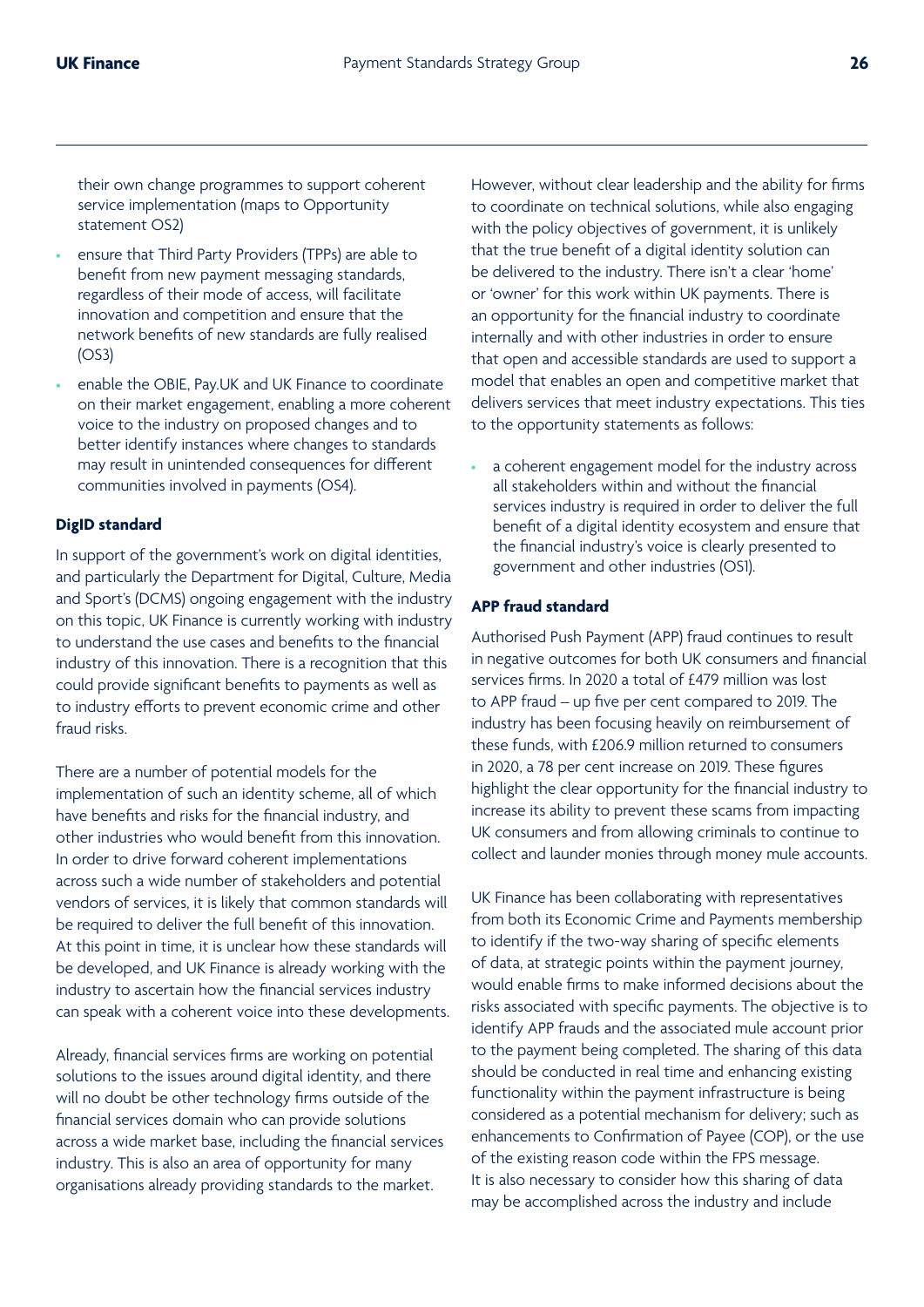their own change programmes to support coherent service implementation (maps to Opportunity statement OS2)

- ensure that Third Party Providers (TPPs) are able to benefit from new payment messaging standards, regardless of their mode of access, will facilitate innovation and competition and ensure that the network benefits of new standards are fully realised (OS3)
- enable the OBIE, Pay.UK and UK Finance to coordinate on their market engagement, enabling a more coherent voice to the industry on proposed changes and to better identify instances where changes to standards may result in unintended consequences for different communities involved in payments (OS4).

#### **DigID standard**

In support of the government's work on digital identities, and particularly the Department for Digital, Culture, Media and Sport's (DCMS) ongoing engagement with the industry on this topic, UK Finance is currently working with industry to understand the use cases and benefits to the financial industry of this innovation. There is a recognition that this could provide significant benefits to payments as well as to industry efforts to prevent economic crime and other fraud risks.

There are a number of potential models for the implementation of such an identity scheme, all of which have benefits and risks for the financial industry, and other industries who would benefit from this innovation. In order to drive forward coherent implementations across such a wide number of stakeholders and potential vendors of services, it is likely that common standards will be required to deliver the full benefit of this innovation. At this point in time, it is unclear how these standards will be developed, and UK Finance is already working with the industry to ascertain how the financial services industry can speak with a coherent voice into these developments.

Already, financial services firms are working on potential solutions to the issues around digital identity, and there will no doubt be other technology firms outside of the financial services domain who can provide solutions across a wide market base, including the financial services industry. This is also an area of opportunity for many organisations already providing standards to the market.

However, without clear leadership and the ability for firms to coordinate on technical solutions, while also engaging with the policy objectives of government, it is unlikely that the true benefit of a digital identity solution can be delivered to the industry. There isn't a clear 'home' or 'owner' for this work within UK payments. There is an opportunity for the financial industry to coordinate internally and with other industries in order to ensure that open and accessible standards are used to support a model that enables an open and competitive market that delivers services that meet industry expectations. This ties to the opportunity statements as follows:

a coherent engagement model for the industry across all stakeholders within and without the financial services industry is required in order to deliver the full benefit of a digital identity ecosystem and ensure that the financial industry's voice is clearly presented to government and other industries (OS1).

#### **APP fraud standard**

Authorised Push Payment (APP) fraud continues to result in negative outcomes for both UK consumers and financial services firms. In 2020 a total of £479 million was lost to APP fraud – up five per cent compared to 2019. The industry has been focusing heavily on reimbursement of these funds, with £206.9 million returned to consumers in 2020, a 78 per cent increase on 2019. These figures highlight the clear opportunity for the financial industry to increase its ability to prevent these scams from impacting UK consumers and from allowing criminals to continue to collect and launder monies through money mule accounts.

UK Finance has been collaborating with representatives from both its Economic Crime and Payments membership to identify if the two-way sharing of specific elements of data, at strategic points within the payment journey, would enable firms to make informed decisions about the risks associated with specific payments. The objective is to identify APP frauds and the associated mule account prior to the payment being completed. The sharing of this data should be conducted in real time and enhancing existing functionality within the payment infrastructure is being considered as a potential mechanism for delivery; such as enhancements to Confirmation of Payee (COP), or the use of the existing reason code within the FPS message. It is also necessary to consider how this sharing of data may be accomplished across the industry and include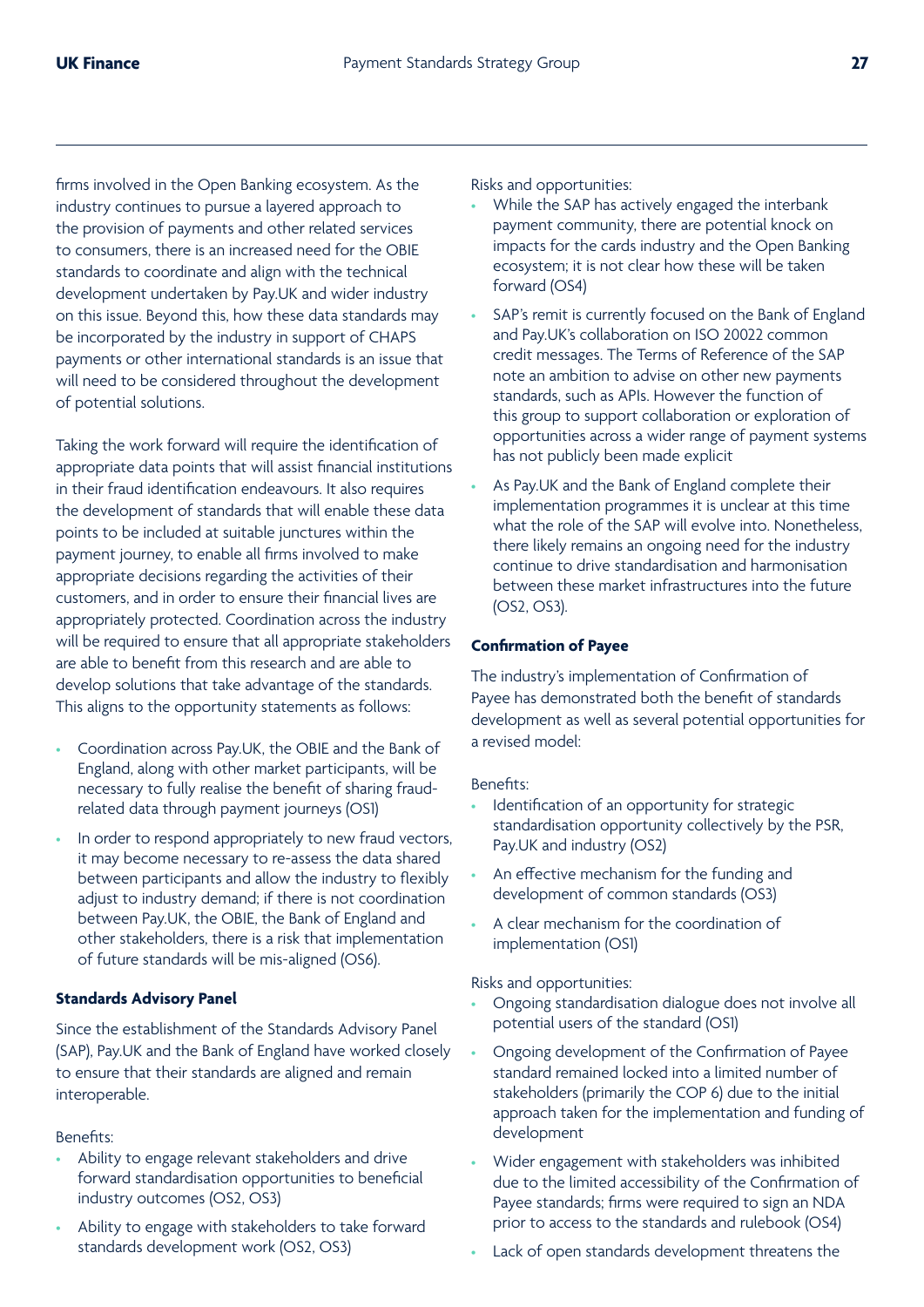firms involved in the Open Banking ecosystem. As the industry continues to pursue a layered approach to the provision of payments and other related services to consumers, there is an increased need for the OBIE standards to coordinate and align with the technical development undertaken by Pay.UK and wider industry on this issue. Beyond this, how these data standards may be incorporated by the industry in support of CHAPS payments or other international standards is an issue that will need to be considered throughout the development of potential solutions.

Taking the work forward will require the identification of appropriate data points that will assist financial institutions in their fraud identification endeavours. It also requires the development of standards that will enable these data points to be included at suitable junctures within the payment journey, to enable all firms involved to make appropriate decisions regarding the activities of their customers, and in order to ensure their financial lives are appropriately protected. Coordination across the industry will be required to ensure that all appropriate stakeholders are able to benefit from this research and are able to develop solutions that take advantage of the standards. This aligns to the opportunity statements as follows:

- Coordination across Pay.UK, the OBIE and the Bank of England, along with other market participants, will be necessary to fully realise the benefit of sharing fraudrelated data through payment journeys (OS1)
- In order to respond appropriately to new fraud vectors, it may become necessary to re-assess the data shared between participants and allow the industry to flexibly adjust to industry demand; if there is not coordination between Pay.UK, the OBIE, the Bank of England and other stakeholders, there is a risk that implementation of future standards will be mis-aligned (OS6).

#### **Standards Advisory Panel**

Since the establishment of the Standards Advisory Panel (SAP), Pay.UK and the Bank of England have worked closely to ensure that their standards are aligned and remain interoperable.

Benefits:

- Ability to engage relevant stakeholders and drive forward standardisation opportunities to beneficial industry outcomes (OS2, OS3)
- Ability to engage with stakeholders to take forward standards development work (OS2, OS3)

Risks and opportunities:

- While the SAP has actively engaged the interbank payment community, there are potential knock on impacts for the cards industry and the Open Banking ecosystem; it is not clear how these will be taken forward (OS4)
- SAP's remit is currently focused on the Bank of England and Pay.UK's collaboration on ISO 20022 common credit messages. The Terms of Reference of the SAP note an ambition to advise on other new payments standards, such as APIs. However the function of this group to support collaboration or exploration of opportunities across a wider range of payment systems has not publicly been made explicit
- As Pay.UK and the Bank of England complete their implementation programmes it is unclear at this time what the role of the SAP will evolve into. Nonetheless, there likely remains an ongoing need for the industry continue to drive standardisation and harmonisation between these market infrastructures into the future (OS2, OS3).

#### **Confirmation of Payee**

The industry's implementation of Confirmation of Payee has demonstrated both the benefit of standards development as well as several potential opportunities for a revised model:

Benefits:

- Identification of an opportunity for strategic standardisation opportunity collectively by the PSR, Pay.UK and industry (OS2)
- An effective mechanism for the funding and development of common standards (OS3)
- A clear mechanism for the coordination of implementation (OS1)

#### Risks and opportunities:

- Ongoing standardisation dialogue does not involve all potential users of the standard (OS1)
- Ongoing development of the Confirmation of Payee standard remained locked into a limited number of stakeholders (primarily the COP 6) due to the initial approach taken for the implementation and funding of development
- Wider engagement with stakeholders was inhibited due to the limited accessibility of the Confirmation of Payee standards; firms were required to sign an NDA prior to access to the standards and rulebook (OS4)
- Lack of open standards development threatens the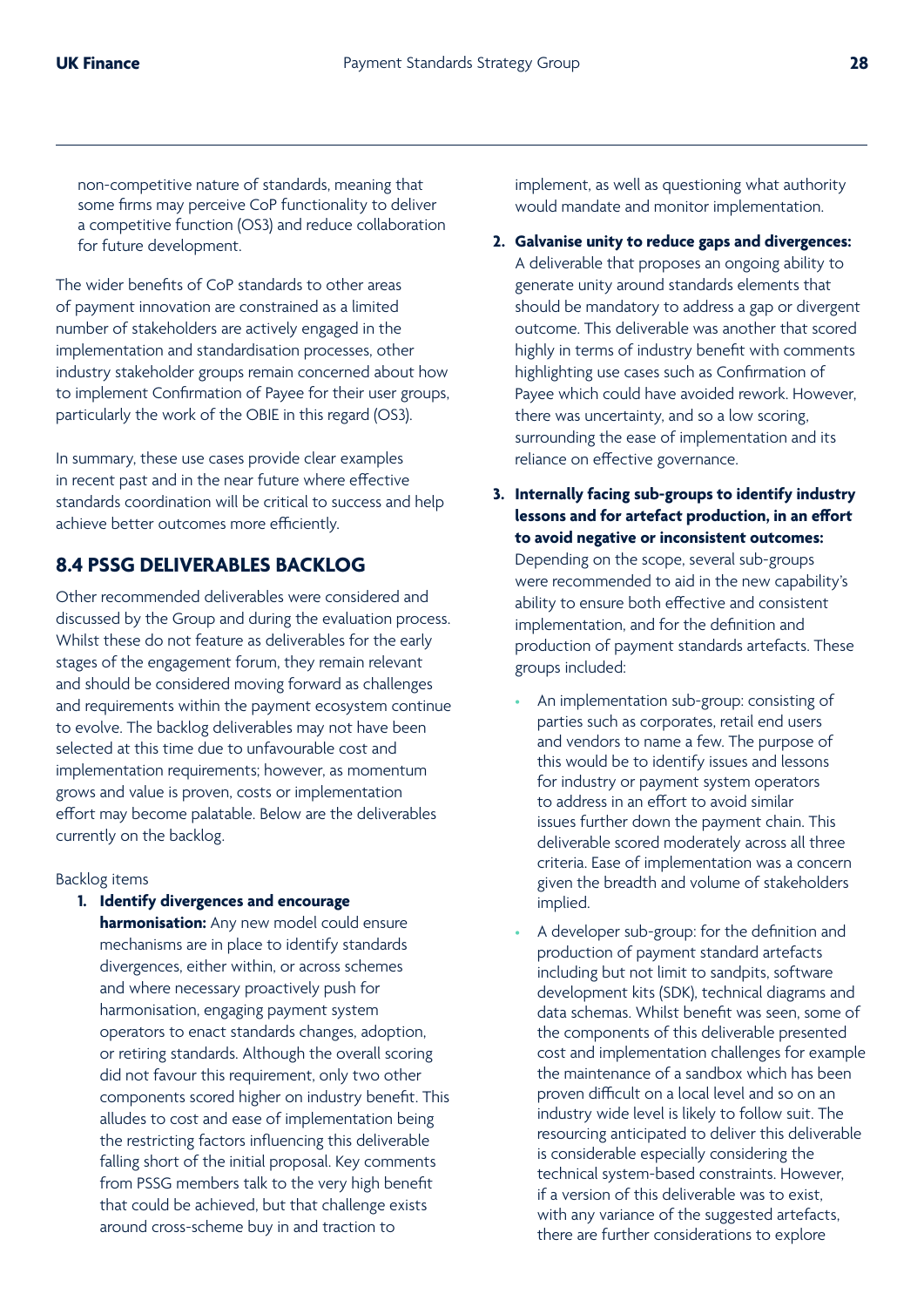non-competitive nature of standards, meaning that some firms may perceive CoP functionality to deliver a competitive function (OS3) and reduce collaboration for future development.

The wider benefits of CoP standards to other areas of payment innovation are constrained as a limited number of stakeholders are actively engaged in the implementation and standardisation processes, other industry stakeholder groups remain concerned about how to implement Confirmation of Payee for their user groups, particularly the work of the OBIE in this regard (OS3).

In summary, these use cases provide clear examples in recent past and in the near future where effective standards coordination will be critical to success and help achieve better outcomes more efficiently.

### **8.4 PSSG DELIVERABLES BACKLOG**

Other recommended deliverables were considered and discussed by the Group and during the evaluation process. Whilst these do not feature as deliverables for the early stages of the engagement forum, they remain relevant and should be considered moving forward as challenges and requirements within the payment ecosystem continue to evolve. The backlog deliverables may not have been selected at this time due to unfavourable cost and implementation requirements; however, as momentum grows and value is proven, costs or implementation effort may become palatable. Below are the deliverables currently on the backlog.

#### Backlog items

**1. Identify divergences and encourage harmonisation:** Any new model could ensure mechanisms are in place to identify standards divergences, either within, or across schemes and where necessary proactively push for harmonisation, engaging payment system operators to enact standards changes, adoption, or retiring standards. Although the overall scoring did not favour this requirement, only two other components scored higher on industry benefit. This alludes to cost and ease of implementation being the restricting factors influencing this deliverable falling short of the initial proposal. Key comments from PSSG members talk to the very high benefit that could be achieved, but that challenge exists around cross-scheme buy in and traction to

implement, as well as questioning what authority would mandate and monitor implementation.

- **2. Galvanise unity to reduce gaps and divergences:**  A deliverable that proposes an ongoing ability to generate unity around standards elements that should be mandatory to address a gap or divergent outcome. This deliverable was another that scored highly in terms of industry benefit with comments highlighting use cases such as Confirmation of Payee which could have avoided rework. However, there was uncertainty, and so a low scoring, surrounding the ease of implementation and its reliance on effective governance.
- **3. Internally facing sub-groups to identify industry lessons and for artefact production, in an effort to avoid negative or inconsistent outcomes:**  Depending on the scope, several sub-groups were recommended to aid in the new capability's ability to ensure both effective and consistent implementation, and for the definition and production of payment standards artefacts. These groups included:
	- An implementation sub-group: consisting of parties such as corporates, retail end users and vendors to name a few. The purpose of this would be to identify issues and lessons for industry or payment system operators to address in an effort to avoid similar issues further down the payment chain. This deliverable scored moderately across all three criteria. Ease of implementation was a concern given the breadth and volume of stakeholders implied.
	- A developer sub-group: for the definition and production of payment standard artefacts including but not limit to sandpits, software development kits (SDK), technical diagrams and data schemas. Whilst benefit was seen, some of the components of this deliverable presented cost and implementation challenges for example the maintenance of a sandbox which has been proven difficult on a local level and so on an industry wide level is likely to follow suit. The resourcing anticipated to deliver this deliverable is considerable especially considering the technical system-based constraints. However, if a version of this deliverable was to exist, with any variance of the suggested artefacts, there are further considerations to explore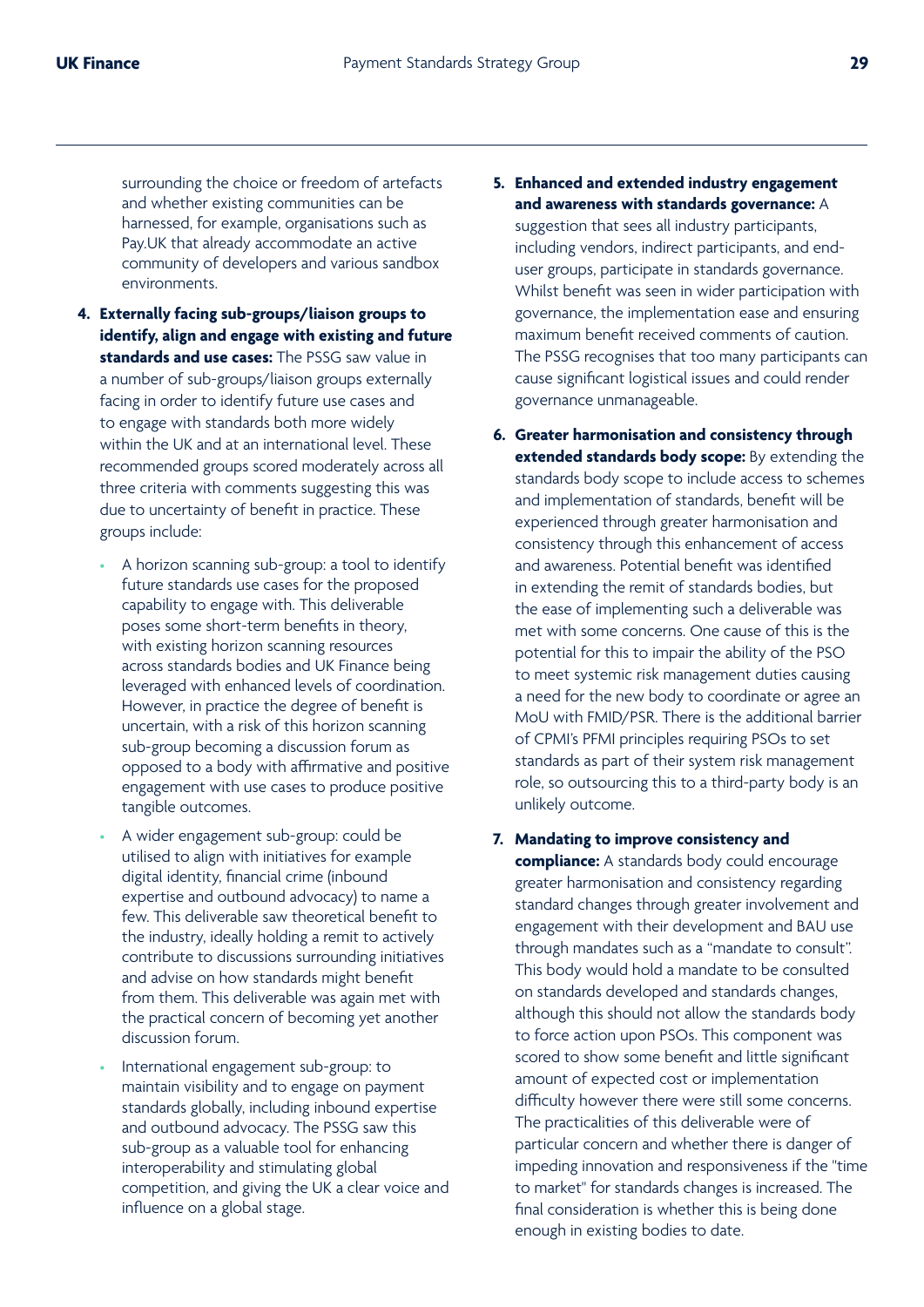surrounding the choice or freedom of artefacts and whether existing communities can be harnessed, for example, organisations such as Pay.UK that already accommodate an active community of developers and various sandbox environments.

- **4. Externally facing sub-groups/liaison groups to identify, align and engage with existing and future standards and use cases:** The PSSG saw value in a number of sub-groups/liaison groups externally facing in order to identify future use cases and to engage with standards both more widely within the UK and at an international level. These recommended groups scored moderately across all three criteria with comments suggesting this was due to uncertainty of benefit in practice. These groups include:
	- A horizon scanning sub-group: a tool to identify future standards use cases for the proposed capability to engage with. This deliverable poses some short-term benefits in theory, with existing horizon scanning resources across standards bodies and UK Finance being leveraged with enhanced levels of coordination. However, in practice the degree of benefit is uncertain, with a risk of this horizon scanning sub-group becoming a discussion forum as opposed to a body with affirmative and positive engagement with use cases to produce positive tangible outcomes.
	- A wider engagement sub-group: could be utilised to align with initiatives for example digital identity, financial crime (inbound expertise and outbound advocacy) to name a few. This deliverable saw theoretical benefit to the industry, ideally holding a remit to actively contribute to discussions surrounding initiatives and advise on how standards might benefit from them. This deliverable was again met with the practical concern of becoming yet another discussion forum.
	- International engagement sub-group: to maintain visibility and to engage on payment standards globally, including inbound expertise and outbound advocacy. The PSSG saw this sub-group as a valuable tool for enhancing interoperability and stimulating global competition, and giving the UK a clear voice and influence on a global stage.

### **5. Enhanced and extended industry engagement and awareness with standards governance:** A suggestion that sees all industry participants, including vendors, indirect participants, and enduser groups, participate in standards governance. Whilst benefit was seen in wider participation with

governance, the implementation ease and ensuring maximum benefit received comments of caution. The PSSG recognises that too many participants can cause significant logistical issues and could render governance unmanageable.

**6. Greater harmonisation and consistency through extended standards body scope:** By extending the standards body scope to include access to schemes and implementation of standards, benefit will be experienced through greater harmonisation and consistency through this enhancement of access and awareness. Potential benefit was identified in extending the remit of standards bodies, but the ease of implementing such a deliverable was met with some concerns. One cause of this is the potential for this to impair the ability of the PSO to meet systemic risk management duties causing a need for the new body to coordinate or agree an MoU with FMID/PSR. There is the additional barrier of CPMI's PFMI principles requiring PSOs to set standards as part of their system risk management role, so outsourcing this to a third-party body is an unlikely outcome.

#### **7. Mandating to improve consistency and**

**compliance:** A standards body could encourage greater harmonisation and consistency regarding standard changes through greater involvement and engagement with their development and BAU use through mandates such as a "mandate to consult". This body would hold a mandate to be consulted on standards developed and standards changes, although this should not allow the standards body to force action upon PSOs. This component was scored to show some benefit and little significant amount of expected cost or implementation difficulty however there were still some concerns. The practicalities of this deliverable were of particular concern and whether there is danger of impeding innovation and responsiveness if the "time to market" for standards changes is increased. The final consideration is whether this is being done enough in existing bodies to date.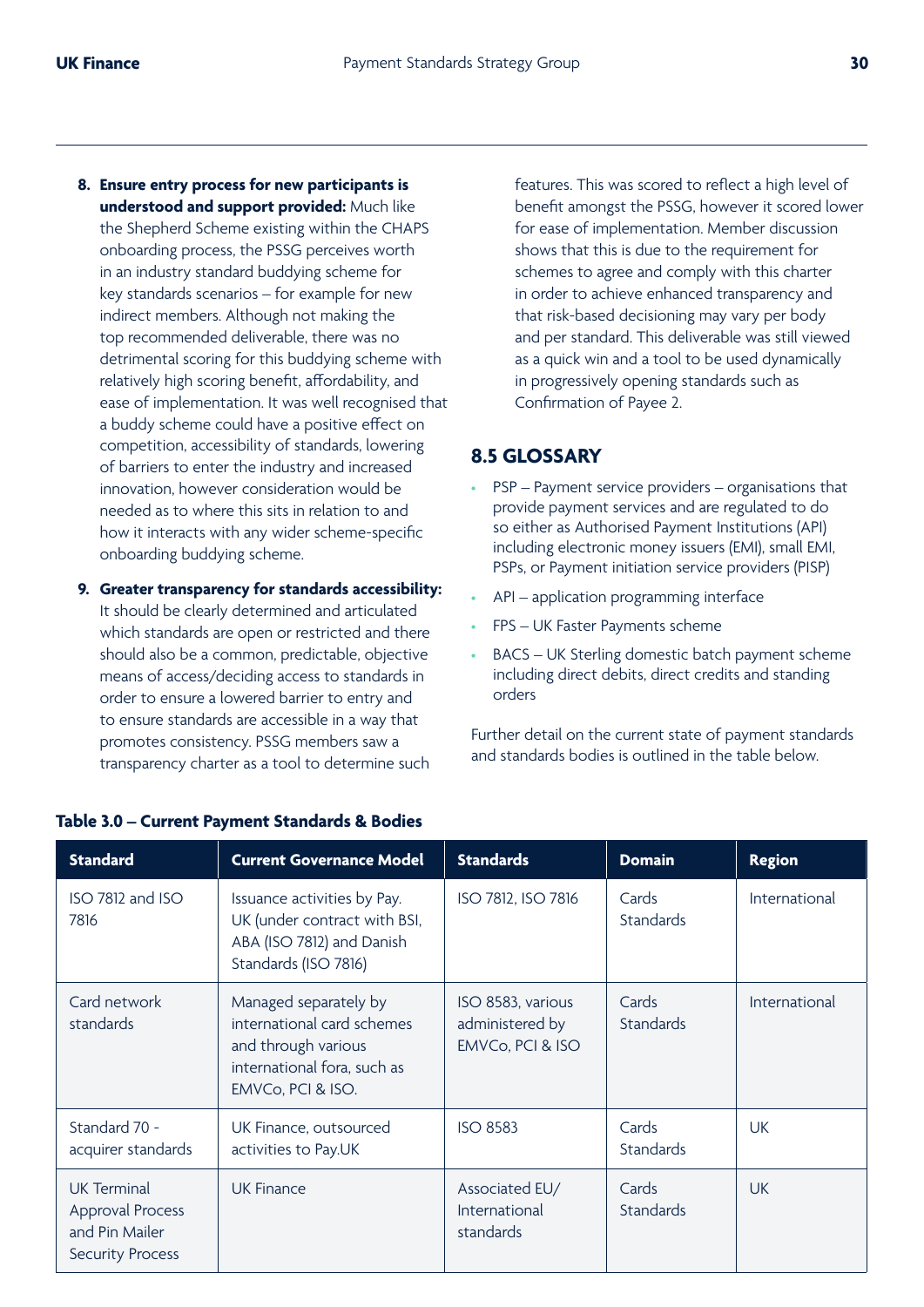- **8. Ensure entry process for new participants is understood and support provided:** Much like the Shepherd Scheme existing within the CHAPS onboarding process, the PSSG perceives worth in an industry standard buddying scheme for key standards scenarios – for example for new indirect members. Although not making the top recommended deliverable, there was no detrimental scoring for this buddying scheme with relatively high scoring benefit, affordability, and ease of implementation. It was well recognised that a buddy scheme could have a positive effect on competition, accessibility of standards, lowering of barriers to enter the industry and increased innovation, however consideration would be needed as to where this sits in relation to and how it interacts with any wider scheme-specific onboarding buddying scheme.
- **9. Greater transparency for standards accessibility:**

It should be clearly determined and articulated which standards are open or restricted and there should also be a common, predictable, objective means of access/deciding access to standards in order to ensure a lowered barrier to entry and to ensure standards are accessible in a way that promotes consistency. PSSG members saw a transparency charter as a tool to determine such features. This was scored to reflect a high level of benefit amongst the PSSG, however it scored lower for ease of implementation. Member discussion shows that this is due to the requirement for schemes to agree and comply with this charter in order to achieve enhanced transparency and that risk-based decisioning may vary per body and per standard. This deliverable was still viewed as a quick win and a tool to be used dynamically in progressively opening standards such as Confirmation of Payee 2.

### **8.5 GLOSSARY**

- PSP Payment service providers organisations that provide payment services and are regulated to do so either as Authorised Payment Institutions (API) including electronic money issuers (EMI), small EMI, PSPs, or Payment initiation service providers (PISP)
- API application programming interface
- FPS UK Faster Payments scheme
- BACS UK Sterling domestic batch payment scheme including direct debits, direct credits and standing orders

Further detail on the current state of payment standards and standards bodies is outlined in the table below.

| <b>Standard</b>                                                                     | <b>Current Governance Model</b>                                                                                                | <b>Standards</b>                                         | <b>Domain</b>             | <b>Region</b> |
|-------------------------------------------------------------------------------------|--------------------------------------------------------------------------------------------------------------------------------|----------------------------------------------------------|---------------------------|---------------|
| ISO 7812 and ISO<br>7816                                                            | Issuance activities by Pay.<br>UK (under contract with BSI,<br>ABA (ISO 7812) and Danish<br>Standards (ISO 7816)               | ISO 7812, ISO 7816                                       | Cards<br><b>Standards</b> | International |
| Card network<br>standards                                                           | Managed separately by<br>international card schemes<br>and through various<br>international fora, such as<br>EMVCo, PCI & ISO. | ISO 8583, various<br>administered by<br>EMVCo, PCI & ISO | Cards<br><b>Standards</b> | International |
| Standard 70 -<br>acquirer standards                                                 | UK Finance, outsourced<br>activities to Pay.UK                                                                                 | <b>ISO 8583</b>                                          | Cards<br><b>Standards</b> | <b>UK</b>     |
| <b>UK Terminal</b><br>Approval Process<br>and Pin Mailer<br><b>Security Process</b> | <b>UK Finance</b>                                                                                                              | Associated EU/<br>International<br>standards             | Cards<br><b>Standards</b> | <b>UK</b>     |

#### **Table 3.0 – Current Payment Standards & Bodies**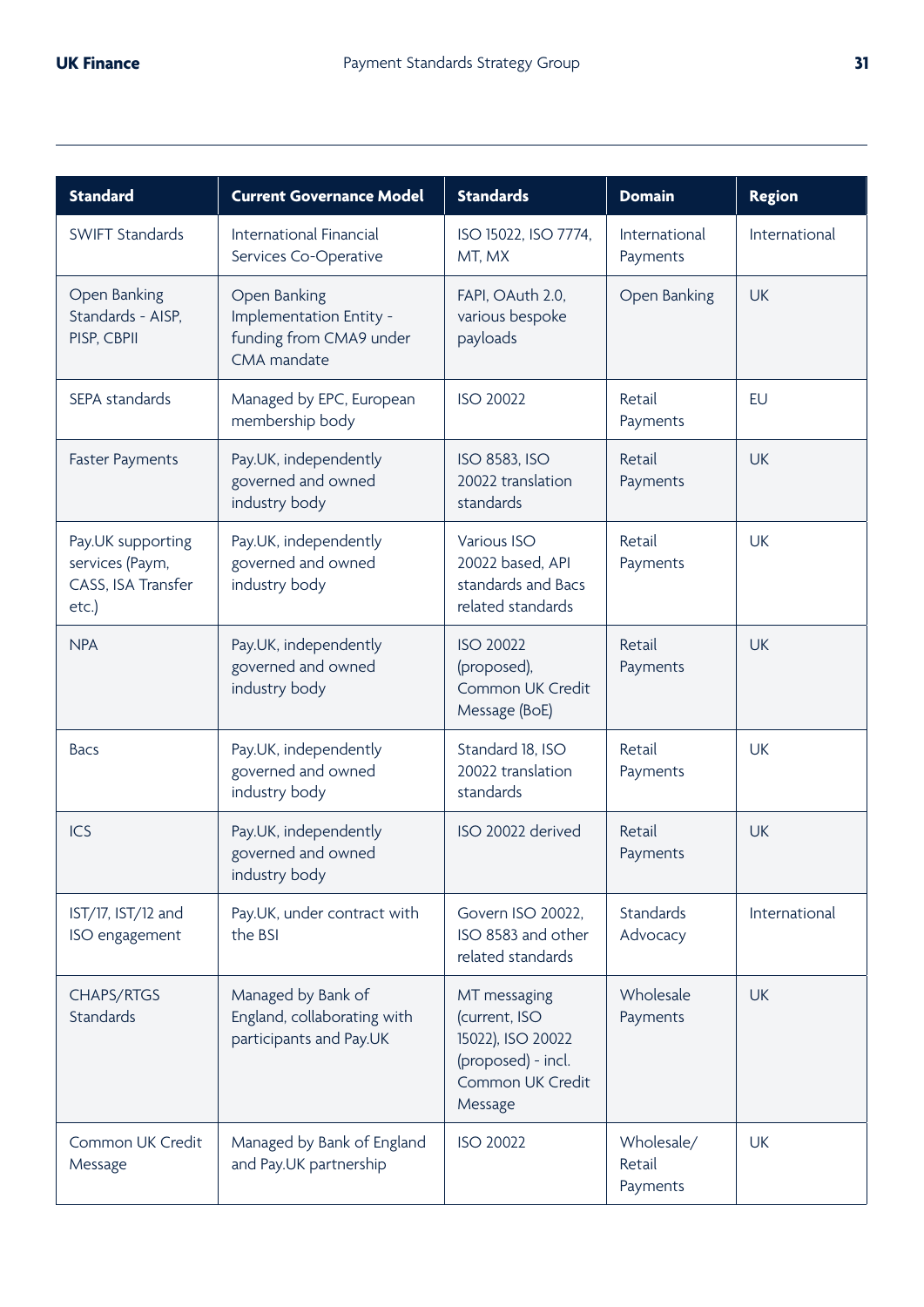| <b>Standard</b>                                                        | <b>Current Governance Model</b>                                                   | <b>Standards</b>                                                                                        | <b>Domain</b>                    | <b>Region</b> |
|------------------------------------------------------------------------|-----------------------------------------------------------------------------------|---------------------------------------------------------------------------------------------------------|----------------------------------|---------------|
| SWIFT Standards                                                        | International Financial<br>Services Co-Operative                                  | ISO 15022, ISO 7774,<br>MT, MX                                                                          | International<br>Payments        | International |
| Open Banking<br>Standards - AISP,<br>PISP, CBPII                       | Open Banking<br>Implementation Entity -<br>funding from CMA9 under<br>CMA mandate | FAPI, OAuth 2.0,<br>various bespoke<br>payloads                                                         | Open Banking                     | <b>UK</b>     |
| SEPA standards                                                         | Managed by EPC, European<br>membership body                                       | <b>ISO 20022</b>                                                                                        | Retail<br>Payments               | <b>EU</b>     |
| <b>Faster Payments</b>                                                 | Pay.UK, independently<br>governed and owned<br>industry body                      | ISO 8583, ISO<br>20022 translation<br>standards                                                         | Retail<br>Payments               | <b>UK</b>     |
| Pay.UK supporting<br>services (Paym,<br>CASS, ISA Transfer<br>$etc.$ ) | Pay.UK, independently<br>governed and owned<br>industry body                      | Various ISO<br>20022 based, API<br>standards and Bacs<br>related standards                              | Retail<br>Payments               | <b>UK</b>     |
| <b>NPA</b>                                                             | Pay.UK, independently<br>governed and owned<br>industry body                      | <b>ISO 20022</b><br>(proposed),<br>Common UK Credit<br>Message (BoE)                                    | Retail<br>Payments               | <b>UK</b>     |
| <b>Bacs</b>                                                            | Pay.UK, independently<br>governed and owned<br>industry body                      | Standard 18, ISO<br>20022 translation<br>standards                                                      | Retail<br>Payments               | <b>UK</b>     |
| <b>ICS</b>                                                             | Pay.UK, independently<br>governed and owned<br>industry body                      | ISO 20022 derived                                                                                       | Retail<br>Payments               | <b>UK</b>     |
| IST/17, IST/12 and<br>ISO engagement                                   | Pay.UK, under contract with<br>the BSI                                            | Govern ISO 20022,<br>ISO 8583 and other<br>related standards                                            | Standards<br>Advocacy            | International |
| CHAPS/RTGS<br>Standards                                                | Managed by Bank of<br>England, collaborating with<br>participants and Pay.UK      | MT messaging<br>(current, ISO<br>15022), ISO 20022<br>(proposed) - incl.<br>Common UK Credit<br>Message | Wholesale<br>Payments            | <b>UK</b>     |
| Common UK Credit<br>Message                                            | Managed by Bank of England<br>and Pay.UK partnership                              | <b>ISO 20022</b>                                                                                        | Wholesale/<br>Retail<br>Payments | <b>UK</b>     |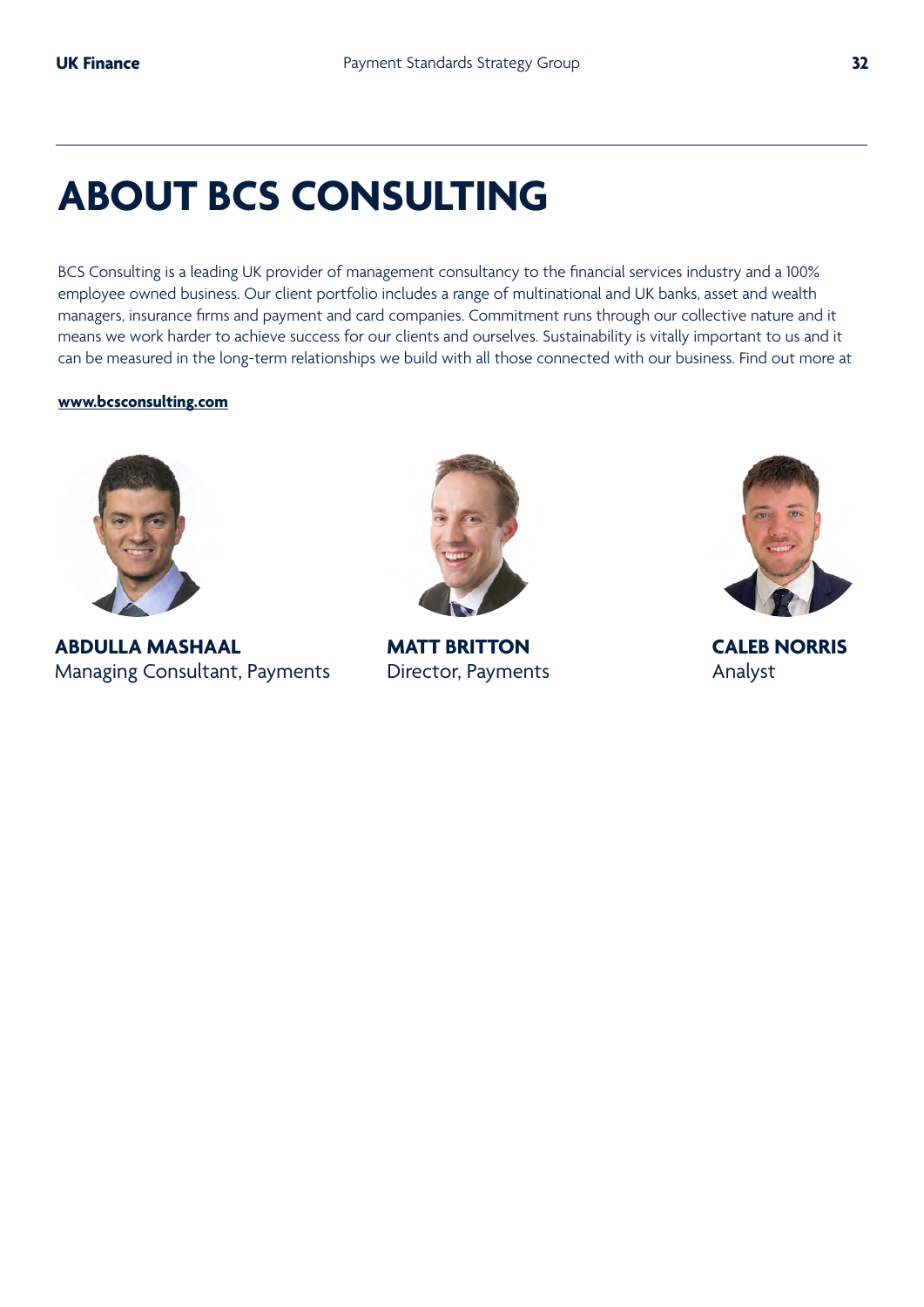## **ABOUT BCS CONSULTING**

BCS Consulting is a leading UK provider of management consultancy to the financial services industry and a 100% employee owned business. Our client portfolio includes a range of multinational and UK banks, asset and wealth managers, insurance firms and payment and card companies. Commitment runs through our collective nature and it means we work harder to achieve success for our clients and ourselves. Sustainability is vitally important to us and it can be measured in the long-term relationships we build with all those connected with our business. Find out more at

#### **www.bcsconsulting.com**



**ABDULLA MASHAAL**  Managing Consultant, Payments



**MATT BRITTON**  Director, Payments



**CALEB NORRIS**  Analyst